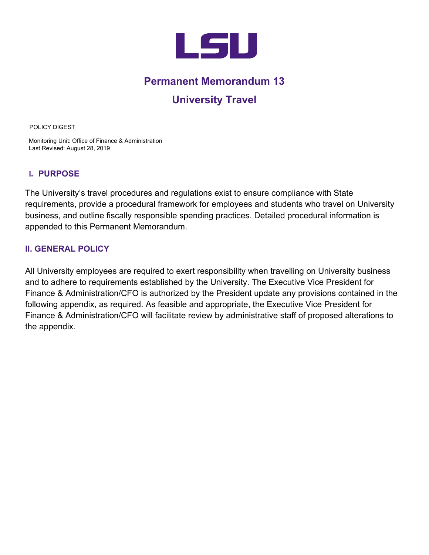

# **Permanent Memorandum 13**

# **University Travel**

POLICY DIGEST

Monitoring Unit: Office of Finance & Administration Last Revised: August 28, 2019

# **I. PURPOSE**

The University's travel procedures and regulations exist to ensure compliance with State requirements, provide a procedural framework for employees and students who travel on University business, and outline fiscally responsible spending practices. Detailed procedural information is appended to this Permanent Memorandum.

# **II. GENERAL POLICY**

All University employees are required to exert responsibility when travelling on University business and to adhere to requirements established by the University. The Executive Vice President for Finance & Administration/CFO is authorized by the President update any provisions contained in the following appendix, as required. As feasible and appropriate, the Executive Vice President for Finance & Administration/CFO will facilitate review by administrative staff of proposed alterations to the appendix.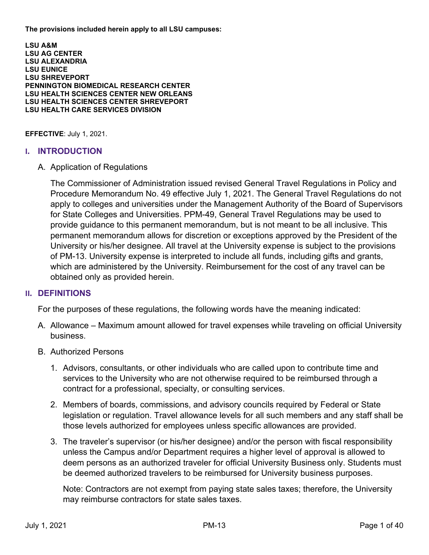<span id="page-1-0"></span>**The provisions included herein apply to all LSU campuses:** 

**LSU A&M LSU AG CENTER LSU ALEXANDRIA LSU EUNICE LSU SHREVEPORT PENNINGTON BIOMEDICAL RESEARCH CENTER LSU HEALTH SCIENCES CENTER NEW ORLEANS LSU HEALTH SCIENCES CENTER SHREVEPORT LSU HEALTH CARE SERVICES DIVISION** 

**EFFECTIVE**: July 1, 2021.

#### **I. INTRODUCTION**

A. Application of Regulations

The Commissioner of Administration issued revised General Travel Regulations in Policy and Procedure Memorandum No. 49 effective July 1, 2021. The General Travel Regulations do not apply to colleges and universities under the Management Authority of the Board of Supervisors for State Colleges and Universities. PPM-49, General Travel Regulations may be used to provide guidance to this permanent memorandum, but is not meant to be all inclusive. This permanent memorandum allows for discretion or exceptions approved by the President of the University or his/her designee. All travel at the University expense is subject to the provisions of PM-13. University expense is interpreted to include all funds, including gifts and grants, which are administered by the University. Reimbursement for the cost of any travel can be obtained only as provided herein.

#### **II. DEFINITIONS**

For the purposes of these regulations, the following words have the meaning indicated:

- A. Allowance Maximum amount allowed for travel expenses while traveling on official University business.
- B. Authorized Persons
	- 1. Advisors, consultants, or other individuals who are called upon to contribute time and services to the University who are not otherwise required to be reimbursed through a contract for a professional, specialty, or consulting services.
	- 2. Members of boards, commissions, and advisory councils required by Federal or State legislation or regulation. Travel allowance levels for all such members and any staff shall be those levels authorized for employees unless specific allowances are provided.
	- 3. The traveler's supervisor (or his/her designee) and/or the person with fiscal responsibility unless the Campus and/or Department requires a higher level of approval is allowed to deem persons as an authorized traveler for official University Business only. Students must be deemed authorized travelers to be reimbursed for University business purposes.

Note: Contractors are not exempt from paying state sales taxes; therefore, the University may reimburse contractors for state sales taxes.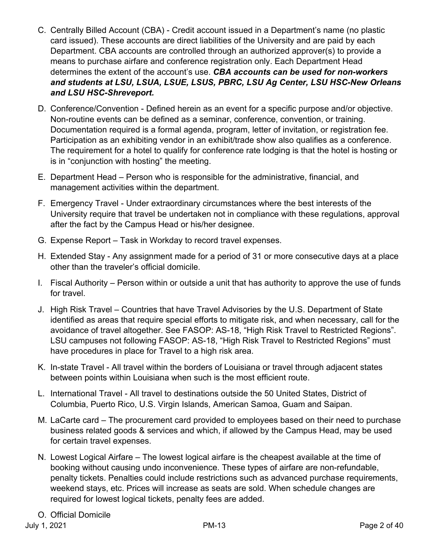- C. Centrally Billed Account (CBA) Credit account issued in a Department's name (no plastic card issued). These accounts are direct liabilities of the University and are paid by each Department. CBA accounts are controlled through an authorized approver(s) to provide a means to purchase airfare and conference registration only. Each Department Head determines the extent of the account's use. *CBA accounts can be used for non-workers and students at LSU, LSUA, LSUE, LSUS, PBRC, LSU Ag Center, LSU HSC-New Orleans and LSU HSC-Shreveport.*
- D. Conference/Convention Defined herein as an event for a specific purpose and/or objective. Non-routine events can be defined as a seminar, conference, convention, or training. Documentation required is a formal agenda, program, letter of invitation, or registration fee. Participation as an exhibiting vendor in an exhibit/trade show also qualifies as a conference. The requirement for a hotel to qualify for conference rate lodging is that the hotel is hosting or is in "conjunction with hosting" the meeting.
- E. Department Head Person who is responsible for the administrative, financial, and management activities within the department.
- F. Emergency Travel Under extraordinary circumstances where the best interests of the University require that travel be undertaken not in compliance with these regulations, approval after the fact by the Campus Head or his/her designee.
- G. Expense Report Task in Workday to record travel expenses.
- H. Extended Stay Any assignment made for a period of 31 or more consecutive days at a place other than the traveler's official domicile.
- I. Fiscal Authority Person within or outside a unit that has authority to approve the use of funds for travel.
- J. High Risk Travel Countries that have Travel Advisories by the U.S. Department of State identified as areas that require special efforts to mitigate risk, and when necessary, call for the avoidance of travel altogether. See FASOP: AS-18, "High Risk Travel to Restricted Regions". LSU campuses not following FASOP: AS-18, "High Risk Travel to Restricted Regions" must have procedures in place for Travel to a high risk area.
- K. In-state Travel All travel within the borders of Louisiana or travel through adjacent states between points within Louisiana when such is the most efficient route.
- L. International Travel All travel to destinations outside the 50 United States, District of Columbia, Puerto Rico, U.S. Virgin Islands, American Samoa, Guam and Saipan.
- M. LaCarte card The procurement card provided to employees based on their need to purchase business related goods & services and which, if allowed by the Campus Head, may be used for certain travel expenses.
- N. Lowest Logical Airfare The lowest logical airfare is the cheapest available at the time of booking without causing undo inconvenience. These types of airfare are non-refundable, penalty tickets. Penalties could include restrictions such as advanced purchase requirements, weekend stays, etc. Prices will increase as seats are sold. When schedule changes are required for lowest logical tickets, penalty fees are added.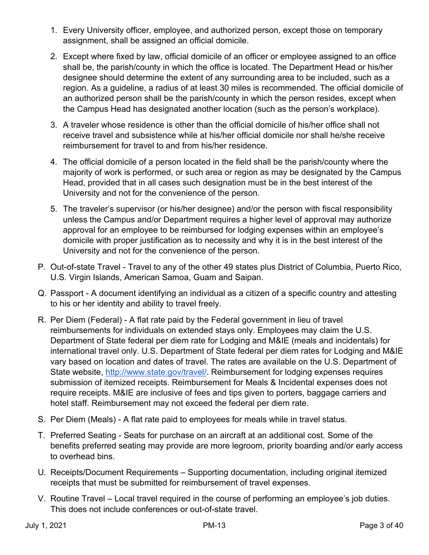- 1. Every University officer, employee, and authorized person, except those on temporary assignment, shall be assigned an official domicile.
- 2. Except where fixed by law, official domicile of an officer or employee assigned to an office shall be, the parish/county in which the office is located. The Department Head or his/her designee should determine the extent of any surrounding area to be included, such as a region. As a guideline, a radius of at least 30 miles is recommended. The official domicile of an authorized person shall be the parish/county in which the person resides, except when the Campus Head has designated another location (such as the person's workplace).
- 3. A traveler whose residence is other than the official domicile of his/her office shall not receive travel and subsistence while at his/her official domicile nor shall he/she receive reimbursement for travel to and from his/her residence.
- 4. The official domicile of a person located in the field shall be the parish/county where the majority of work is performed, or such area or region as may be designated by the Campus Head, provided that in all cases such designation must be in the best interest of the University and not for the convenience of the person.
- 5. The traveler's supervisor (or his/her designee) and/or the person with fiscal responsibility unless the Campus and/or Department requires a higher level of approval may authorize approval for an employee to be reimbursed for lodging expenses within an employee's domicile with proper justification as to necessity and why it is in the best interest of the University and not for the convenience of the person.
- P. Out-of-state Travel Travel to any of the other 49 states plus District of Columbia, Puerto Rico, U.S. Virgin Islands, American Samoa, Guam and Saipan.
- Q. Passport A document identifying an individual as a citizen of a specific country and attesting to his or her identity and ability to travel freely.
- R. Per Diem (Federal) A flat rate paid by the Federal government in lieu of travel reimbursements for individuals on extended stays only. Employees may claim the U.S. Department of State federal per diem rate for Lodging and M&IE (meals and incidentals) for international travel only. U.S. Department of State federal per diem rates for Lodging and M&IE vary based on location and dates of travel. The rates are available on the U.S. Department of State website, http://www.state.gov/travel/. Reimbursement for lodging expenses requires submission of itemized receipts. Reimbursement for Meals & Incidental expenses does not require receipts. M&IE are inclusive of fees and tips given to porters, baggage carriers and hotel staff. Reimbursement may not exceed the federal per diem rate.
- S. Per Diem (Meals) A flat rate paid to employees for meals while in travel status.
- T. Preferred Seating Seats for purchase on an aircraft at an additional cost. Some of the benefits preferred seating may provide are more legroom, priority boarding and/or early access to overhead bins.
- U. Receipts/Document Requirements Supporting documentation, including original itemized receipts that must be submitted for reimbursement of travel expenses.
- V. Routine Travel Local travel required in the course of performing an employee's job duties. This does not include conferences or out-of-state travel.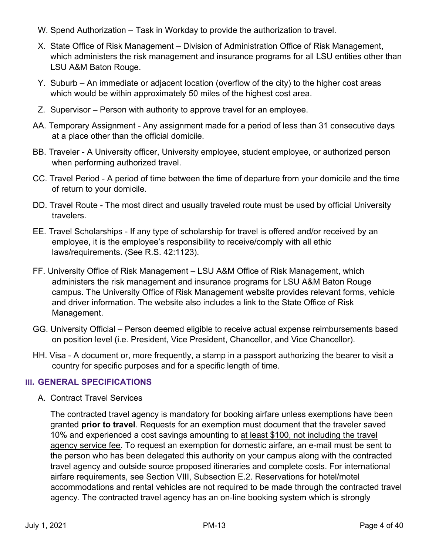- W. Spend Authorization Task in Workday to provide the authorization to travel.
- X. State Office of Risk Management Division of Administration Office of Risk Management, which administers the risk management and insurance programs for all LSU entities other than LSU A&M Baton Rouge.
- Y. Suburb An immediate or adjacent location (overflow of the city) to the higher cost areas which would be within approximately 50 miles of the highest cost area.
- Z. Supervisor Person with authority to approve travel for an employee.
- AA. Temporary Assignment Any assignment made for a period of less than 31 consecutive days at a place other than the official domicile.
- BB. Traveler A University officer, University employee, student employee, or authorized person when performing authorized travel.
- CC. Travel Period A period of time between the time of departure from your domicile and the time of return to your domicile.
- DD. Travel Route The most direct and usually traveled route must be used by official University travelers.
- EE. Travel Scholarships If any type of scholarship for travel is offered and/or received by an employee, it is the employee's responsibility to receive/comply with all ethic laws/requirements. (See R.S. 42:1123).
- FF. University Office of Risk Management LSU A&M Office of Risk Management, which administers the risk management and insurance programs for LSU A&M Baton Rouge campus. The University Office of Risk Management website provides relevant forms, vehicle and driver information. The website also includes a link to the State Office of Risk Management.
- GG. University Official Person deemed eligible to receive actual expense reimbursements based on position level (i.e. President, Vice President, Chancellor, and Vice Chancellor).
- HH. Visa A document or, more frequently, a stamp in a passport authorizing the bearer to visit a country for specific purposes and for a specific length of time.

# **III. GENERAL SPECIFICATIONS**

A. Contract Travel Services

The contracted travel agency is mandatory for booking airfare unless exemptions have been granted **prior to travel**. Requests for an exemption must document that the traveler saved 10% and experienced a cost savings amounting to at least \$100, not including the travel agency service fee. To request an exemption for domestic airfare, an e-mail must be sent to the person who has been delegated this authority on your campus along with the contracted travel agency and outside source proposed itineraries and complete costs. For international airfare requirements, see Section VIII, Subsection E.2. Reservations for hotel/motel accommodations and rental vehicles are not required to be made through the contracted travel agency. The contracted travel agency has an on-line booking system which is strongly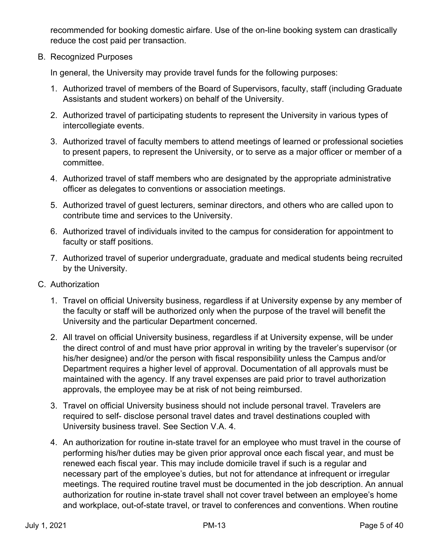recommended for booking domestic airfare. Use of the on-line booking system can drastically reduce the cost paid per transaction.

B. Recognized Purposes

In general, the University may provide travel funds for the following purposes:

- 1. Authorized travel of members of the Board of Supervisors, faculty, staff (including Graduate Assistants and student workers) on behalf of the University.
- 2. Authorized travel of participating students to represent the University in various types of intercollegiate events.
- 3. Authorized travel of faculty members to attend meetings of learned or professional societies to present papers, to represent the University, or to serve as a major officer or member of a committee.
- 4. Authorized travel of staff members who are designated by the appropriate administrative officer as delegates to conventions or association meetings.
- 5. Authorized travel of guest lecturers, seminar directors, and others who are called upon to contribute time and services to the University.
- 6. Authorized travel of individuals invited to the campus for consideration for appointment to faculty or staff positions.
- 7. Authorized travel of superior undergraduate, graduate and medical students being recruited by the University.
- C. Authorization
	- 1. Travel on official University business, regardless if at University expense by any member of the faculty or staff will be authorized only when the purpose of the travel will benefit the University and the particular Department concerned.
	- 2. All travel on official University business, regardless if at University expense, will be under the direct control of and must have prior approval in writing by the traveler's supervisor (or his/her designee) and/or the person with fiscal responsibility unless the Campus and/or Department requires a higher level of approval. Documentation of all approvals must be maintained with the agency. If any travel expenses are paid prior to travel authorization approvals, the employee may be at risk of not being reimbursed.
	- 3. Travel on official University business should not include personal travel. Travelers are required to self- disclose personal travel dates and travel destinations coupled with University business travel. See Section V.A. 4.
	- 4. An authorization for routine in-state travel for an employee who must travel in the course of performing his/her duties may be given prior approval once each fiscal year, and must be renewed each fiscal year. This may include domicile travel if such is a regular and necessary part of the employee's duties, but not for attendance at infrequent or irregular meetings. The required routine travel must be documented in the job description. An annual authorization for routine in-state travel shall not cover travel between an employee's home and workplace, out-of-state travel, or travel to conferences and conventions. When routine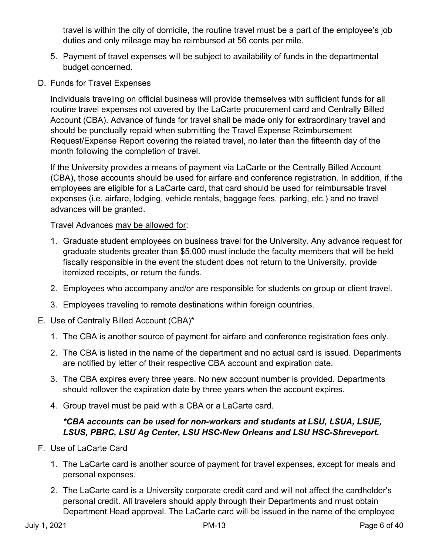travel is within the city of domicile, the routine travel must be a part of the employee's job duties and only mileage may be reimbursed at 56 cents per mile.

- 5. Payment of travel expenses will be subject to availability of funds in the departmental budget concerned.
- D. Funds for Travel Expenses

Individuals traveling on official business will provide themselves with sufficient funds for all routine travel expenses not covered by the LaCarte procurement card and Centrally Billed Account (CBA). Advance of funds for travel shall be made only for extraordinary travel and should be punctually repaid when submitting the Travel Expense Reimbursement Request/Expense Report covering the related travel, no later than the fifteenth day of the month following the completion of travel.

If the University provides a means of payment via LaCarte or the Centrally Billed Account (CBA), those accounts should be used for airfare and conference registration. In addition, if the employees are eligible for a LaCarte card, that card should be used for reimbursable travel expenses (i.e. airfare, lodging, vehicle rentals, baggage fees, parking, etc.) and no travel advances will be granted.

Travel Advances may be allowed for:

- 1. Graduate student employees on business travel for the University. Any advance request for graduate students greater than \$5,000 must include the faculty members that will be held fiscally responsible in the event the student does not return to the University, provide itemized receipts, or return the funds.
- 2. Employees who accompany and/or are responsible for students on group or client travel.
- 3. Employees traveling to remote destinations within foreign countries.
- E. Use of Centrally Billed Account (CBA)\*
	- 1. The CBA is another source of payment for airfare and conference registration fees only.
	- 2. The CBA is listed in the name of the department and no actual card is issued. Departments are notified by letter of their respective CBA account and expiration date.
	- 3. The CBA expires every three years. No new account number is provided. Departments should rollover the expiration date by three years when the account expires.
	- 4. Group travel must be paid with a CBA or a LaCarte card.

# *\*CBA accounts can be used for non-workers and students at LSU, LSUA, LSUE, LSUS, PBRC, LSU Ag Center, LSU HSC-New Orleans and LSU HSC-Shreveport.*

- F. Use of LaCarte Card
	- 1. The LaCarte card is another source of payment for travel expenses, except for meals and personal expenses.
	- 2. The LaCarte card is a University corporate credit card and will not affect the cardholder's personal credit. All travelers should apply through their Departments and must obtain Department Head approval. The LaCarte card will be issued in the name of the employee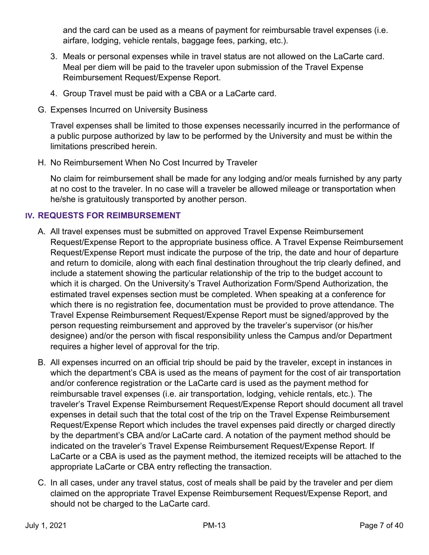and the card can be used as a means of payment for reimbursable travel expenses (i.e. airfare, lodging, vehicle rentals, baggage fees, parking, etc.).

- 3. Meals or personal expenses while in travel status are not allowed on the LaCarte card. Meal per diem will be paid to the traveler upon submission of the Travel Expense Reimbursement Request/Expense Report.
- 4. Group Travel must be paid with a CBA or a LaCarte card.
- G. Expenses Incurred on University Business

Travel expenses shall be limited to those expenses necessarily incurred in the performance of a public purpose authorized by law to be performed by the University and must be within the limitations prescribed herein.

H. No Reimbursement When No Cost Incurred by Traveler

No claim for reimbursement shall be made for any lodging and/or meals furnished by any party at no cost to the traveler. In no case will a traveler be allowed mileage or transportation when he/she is gratuitously transported by another person.

# **IV. REQUESTS FOR REIMBURSEMENT**

- A. All travel expenses must be submitted on approved Travel Expense Reimbursement Request/Expense Report to the appropriate business office. A Travel Expense Reimbursement Request/Expense Report must indicate the purpose of the trip, the date and hour of departure and return to domicile, along with each final destination throughout the trip clearly defined, and include a statement showing the particular relationship of the trip to the budget account to which it is charged. On the University's Travel Authorization Form/Spend Authorization, the estimated travel expenses section must be completed. When speaking at a conference for which there is no registration fee, documentation must be provided to prove attendance. The Travel Expense Reimbursement Request/Expense Report must be signed/approved by the person requesting reimbursement and approved by the traveler's supervisor (or his/her designee) and/or the person with fiscal responsibility unless the Campus and/or Department requires a higher level of approval for the trip.
- B. All expenses incurred on an official trip should be paid by the traveler, except in instances in which the department's CBA is used as the means of payment for the cost of air transportation and/or conference registration or the LaCarte card is used as the payment method for reimbursable travel expenses (i.e. air transportation, lodging, vehicle rentals, etc.). The traveler's Travel Expense Reimbursement Request/Expense Report should document all travel expenses in detail such that the total cost of the trip on the Travel Expense Reimbursement Request/Expense Report which includes the travel expenses paid directly or charged directly by the department's CBA and/or LaCarte card. A notation of the payment method should be indicated on the traveler's Travel Expense Reimbursement Request/Expense Report. If LaCarte or a CBA is used as the payment method, the itemized receipts will be attached to the appropriate LaCarte or CBA entry reflecting the transaction.
- C. In all cases, under any travel status, cost of meals shall be paid by the traveler and per diem claimed on the appropriate Travel Expense Reimbursement Request/Expense Report, and should not be charged to the LaCarte card.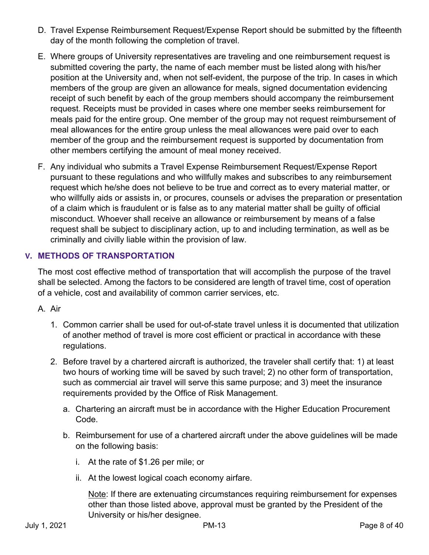- D. Travel Expense Reimbursement Request/Expense Report should be submitted by the fifteenth day of the month following the completion of travel.
- E. Where groups of University representatives are traveling and one reimbursement request is submitted covering the party, the name of each member must be listed along with his/her position at the University and, when not self-evident, the purpose of the trip. In cases in which members of the group are given an allowance for meals, signed documentation evidencing receipt of such benefit by each of the group members should accompany the reimbursement request. Receipts must be provided in cases where one member seeks reimbursement for meals paid for the entire group. One member of the group may not request reimbursement of meal allowances for the entire group unless the meal allowances were paid over to each member of the group and the reimbursement request is supported by documentation from other members certifying the amount of meal money received.
- F. Any individual who submits a Travel Expense Reimbursement Request/Expense Report pursuant to these regulations and who willfully makes and subscribes to any reimbursement request which he/she does not believe to be true and correct as to every material matter, or who willfully aids or assists in, or procures, counsels or advises the preparation or presentation of a claim which is fraudulent or is false as to any material matter shall be guilty of official misconduct. Whoever shall receive an allowance or reimbursement by means of a false request shall be subject to disciplinary action, up to and including termination, as well as be criminally and civilly liable within the provision of law.

# **V. METHODS OF TRANSPORTATION**

The most cost effective method of transportation that will accomplish the purpose of the travel shall be selected. Among the factors to be considered are length of travel time, cost of operation of a vehicle, cost and availability of common carrier services, etc.

# A. Air

- 1. Common carrier shall be used for out-of-state travel unless it is documented that utilization of another method of travel is more cost efficient or practical in accordance with these regulations.
- 2. Before travel by a chartered aircraft is authorized, the traveler shall certify that: 1) at least two hours of working time will be saved by such travel; 2) no other form of transportation, such as commercial air travel will serve this same purpose; and 3) meet the insurance requirements provided by the Office of Risk Management.
	- a. Chartering an aircraft must be in accordance with the Higher Education Procurement Code.
	- b. Reimbursement for use of a chartered aircraft under the above guidelines will be made on the following basis:
		- i. At the rate of \$1.26 per mile; or
		- ii. At the lowest logical coach economy airfare.

Note: If there are extenuating circumstances requiring reimbursement for expenses other than those listed above, approval must be granted by the President of the University or his/her designee.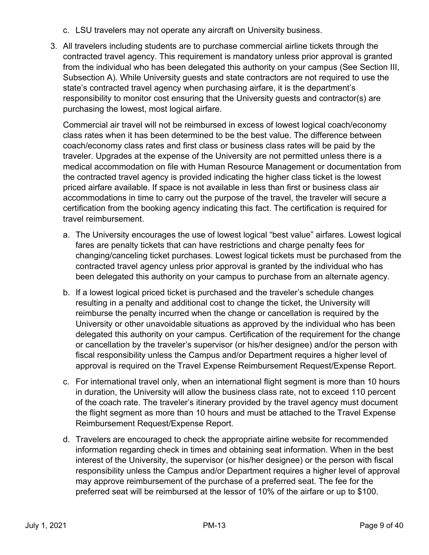- c. LSU travelers may not operate any aircraft on University business.
- 3. All travelers including students are to purchase commercial airline tickets through the contracted travel agency. This requirement is mandatory unless prior approval is granted from the individual who has been delegated this authority on your campus (See Section III, Subsection A). While University guests and state contractors are not required to use the state's contracted travel agency when purchasing airfare, it is the department's responsibility to monitor cost ensuring that the University guests and contractor(s) are purchasing the lowest, most logical airfare.

Commercial air travel will not be reimbursed in excess of lowest logical coach/economy class rates when it has been determined to be the best value. The difference between coach/economy class rates and first class or business class rates will be paid by the traveler. Upgrades at the expense of the University are not permitted unless there is a medical accommodation on file with Human Resource Management or documentation from the contracted travel agency is provided indicating the higher class ticket is the lowest priced airfare available. If space is not available in less than first or business class air accommodations in time to carry out the purpose of the travel, the traveler will secure a certification from the booking agency indicating this fact. The certification is required for travel reimbursement.

- a. The University encourages the use of lowest logical "best value" airfares. Lowest logical fares are penalty tickets that can have restrictions and charge penalty fees for changing/canceling ticket purchases. Lowest logical tickets must be purchased from the contracted travel agency unless prior approval is granted by the individual who has been delegated this authority on your campus to purchase from an alternate agency.
- b. If a lowest logical priced ticket is purchased and the traveler's schedule changes resulting in a penalty and additional cost to change the ticket, the University will reimburse the penalty incurred when the change or cancellation is required by the University or other unavoidable situations as approved by the individual who has been delegated this authority on your campus. Certification of the requirement for the change or cancellation by the traveler's supervisor (or his/her designee) and/or the person with fiscal responsibility unless the Campus and/or Department requires a higher level of approval is required on the Travel Expense Reimbursement Request/Expense Report.
- c. For international travel only, when an international flight segment is more than 10 hours in duration, the University will allow the business class rate, not to exceed 110 percent of the coach rate. The traveler's itinerary provided by the travel agency must document the flight segment as more than 10 hours and must be attached to the Travel Expense Reimbursement Request/Expense Report.
- d. Travelers are encouraged to check the appropriate airline website for recommended information regarding check in times and obtaining seat information. When in the best interest of the University, the supervisor (or his/her designee) or the person with fiscal responsibility unless the Campus and/or Department requires a higher level of approval may approve reimbursement of the purchase of a preferred seat. The fee for the preferred seat will be reimbursed at the lessor of 10% of the airfare or up to \$100.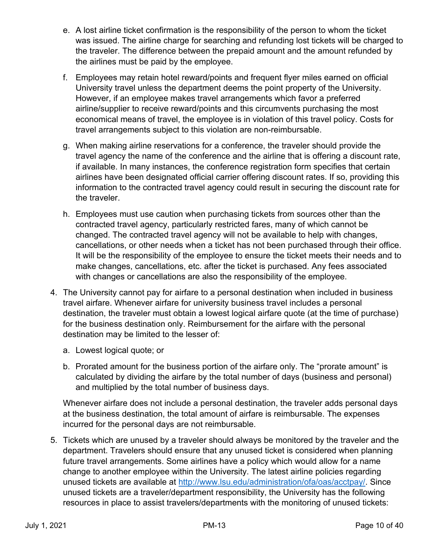- e. A lost airline ticket confirmation is the responsibility of the person to whom the ticket was issued. The airline charge for searching and refunding lost tickets will be charged to the traveler. The difference between the prepaid amount and the amount refunded by the airlines must be paid by the employee.
- f. Employees may retain hotel reward/points and frequent flyer miles earned on official University travel unless the department deems the point property of the University. However, if an employee makes travel arrangements which favor a preferred airline/supplier to receive reward/points and this circumvents purchasing the most economical means of travel, the employee is in violation of this travel policy. Costs for travel arrangements subject to this violation are non-reimbursable.
- g. When making airline reservations for a conference, the traveler should provide the travel agency the name of the conference and the airline that is offering a discount rate, if available. In many instances, the conference registration form specifies that certain airlines have been designated official carrier offering discount rates. If so, providing this information to the contracted travel agency could result in securing the discount rate for the traveler.
- h. Employees must use caution when purchasing tickets from sources other than the contracted travel agency, particularly restricted fares, many of which cannot be changed. The contracted travel agency will not be available to help with changes, cancellations, or other needs when a ticket has not been purchased through their office. It will be the responsibility of the employee to ensure the ticket meets their needs and to make changes, cancellations, etc. after the ticket is purchased. Any fees associated with changes or cancellations are also the responsibility of the employee.
- 4. The University cannot pay for airfare to a personal destination when included in business travel airfare. Whenever airfare for university business travel includes a personal destination, the traveler must obtain a lowest logical airfare quote (at the time of purchase) for the business destination only. Reimbursement for the airfare with the personal destination may be limited to the lesser of:
	- a. Lowest logical quote; or
	- b. Prorated amount for the business portion of the airfare only. The "prorate amount" is calculated by dividing the airfare by the total number of days (business and personal) and multiplied by the total number of business days.

Whenever airfare does not include a personal destination, the traveler adds personal days at the business destination, the total amount of airfare is reimbursable. The expenses incurred for the personal days are not reimbursable.

5. Tickets which are unused by a traveler should always be monitored by the traveler and the department. Travelers should ensure that any unused ticket is considered when planning future travel arrangements. Some airlines have a policy which would allow for a name change to another employee within the University. The latest airline policies regarding unused tickets are available at http://www.lsu.edu/administration/ofa/oas/acctpay/. Since unused tickets are a traveler/department responsibility, the University has the following resources in place to assist travelers/departments with the monitoring of unused tickets: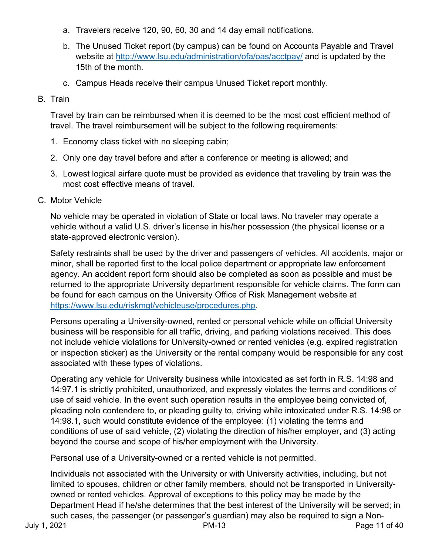- a. Travelers receive 120, 90, 60, 30 and 14 day email notifications.
- b. The Unused Ticket report (by campus) can be found on Accounts Payable and Travel website at http://www.lsu.edu/administration/ofa/oas/acctpay/ and is updated by the 15th of the month.
- c. Campus Heads receive their campus Unused Ticket report monthly.

# B. Train

Travel by train can be reimbursed when it is deemed to be the most cost efficient method of travel. The travel reimbursement will be subject to the following requirements:

- 1. Economy class ticket with no sleeping cabin;
- 2. Only one day travel before and after a conference or meeting is allowed; and
- 3. Lowest logical airfare quote must be provided as evidence that traveling by train was the most cost effective means of travel.
- C. Motor Vehicle

No vehicle may be operated in violation of State or local laws. No traveler may operate a vehicle without a valid U.S. driver's license in his/her possession (the physical license or a state-approved electronic version).

Safety restraints shall be used by the driver and passengers of vehicles. All accidents, major or minor, shall be reported first to the local police department or appropriate law enforcement agency. An accident report form should also be completed as soon as possible and must be returned to the appropriate University department responsible for vehicle claims. The form can be found for each campus on the University Office of Risk Management website at https://www.lsu.edu/riskmgt/vehicleuse/procedures.php.

Persons operating a University-owned, rented or personal vehicle while on official University business will be responsible for all traffic, driving, and parking violations received. This does not include vehicle violations for University-owned or rented vehicles (e.g. expired registration or inspection sticker) as the University or the rental company would be responsible for any cost associated with these types of violations.

Operating any vehicle for University business while intoxicated as set forth in R.S. 14:98 and 14:97.1 is strictly prohibited, unauthorized, and expressly violates the terms and conditions of use of said vehicle. In the event such operation results in the employee being convicted of, pleading nolo contendere to, or pleading guilty to, driving while intoxicated under R.S. 14:98 or 14:98.1, such would constitute evidence of the employee: (1) violating the terms and conditions of use of said vehicle, (2) violating the direction of his/her employer, and (3) acting beyond the course and scope of his/her employment with the University.

Personal use of a University-owned or a rented vehicle is not permitted.

Individuals not associated with the University or with University activities, including, but not limited to spouses, children or other family members, should not be transported in Universityowned or rented vehicles. Approval of exceptions to this policy may be made by the Department Head if he/she determines that the best interest of the University will be served; in such cases, the passenger (or passenger's guardian) may also be required to sign a Non-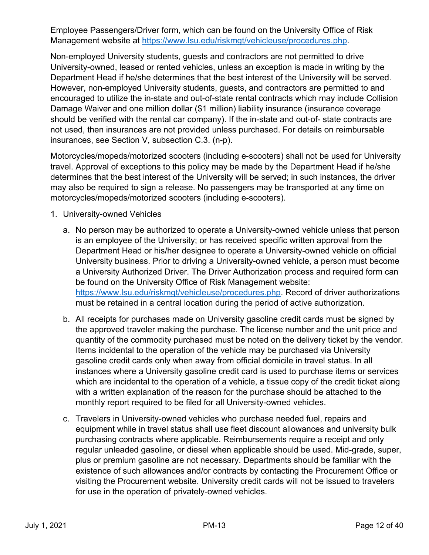Employee Passengers/Driver form, which can be found on the University Office of Risk Management website at https://www.lsu.edu/riskmgt/vehicleuse/procedures.php.

Non-employed University students, guests and contractors are not permitted to drive University-owned, leased or rented vehicles, unless an exception is made in writing by the Department Head if he/she determines that the best interest of the University will be served. However, non-employed University students, guests, and contractors are permitted to and encouraged to utilize the in-state and out-of-state rental contracts which may include Collision Damage Waiver and one million dollar (\$1 million) liability insurance (insurance coverage should be verified with the rental car company). If the in-state and out-of- state contracts are not used, then insurances are not provided unless purchased. For details on reimbursable insurances, see Section V, subsection C.3. (n-p).

Motorcycles/mopeds/motorized scooters (including e-scooters) shall not be used for University travel. Approval of exceptions to this policy may be made by the Department Head if he/she determines that the best interest of the University will be served; in such instances, the driver may also be required to sign a release. No passengers may be transported at any time on motorcycles/mopeds/motorized scooters (including e-scooters).

- 1. University-owned Vehicles
	- a. No person may be authorized to operate a University-owned vehicle unless that person is an employee of the University; or has received specific written approval from the Department Head or his/her designee to operate a University-owned vehicle on official University business. Prior to driving a University-owned vehicle, a person must become a University Authorized Driver. The Driver Authorization process and required form can be found on the University Office of Risk Management website: https://www.lsu.edu/riskmgt/vehicleuse/procedures.php. Record of driver authorizations must be retained in a central location during the period of active authorization.
	- b. All receipts for purchases made on University gasoline credit cards must be signed by the approved traveler making the purchase. The license number and the unit price and quantity of the commodity purchased must be noted on the delivery ticket by the vendor. Items incidental to the operation of the vehicle may be purchased via University gasoline credit cards only when away from official domicile in travel status. In all instances where a University gasoline credit card is used to purchase items or services which are incidental to the operation of a vehicle, a tissue copy of the credit ticket along with a written explanation of the reason for the purchase should be attached to the monthly report required to be filed for all University-owned vehicles.
	- c. Travelers in University-owned vehicles who purchase needed fuel, repairs and equipment while in travel status shall use fleet discount allowances and university bulk purchasing contracts where applicable. Reimbursements require a receipt and only regular unleaded gasoline, or diesel when applicable should be used. Mid-grade, super, plus or premium gasoline are not necessary. Departments should be familiar with the existence of such allowances and/or contracts by contacting the Procurement Office or visiting the Procurement website. University credit cards will not be issued to travelers for use in the operation of privately-owned vehicles.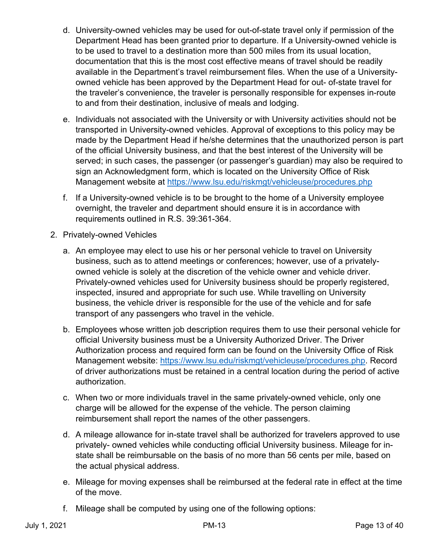- d. University-owned vehicles may be used for out-of-state travel only if permission of the Department Head has been granted prior to departure. If a University-owned vehicle is to be used to travel to a destination more than 500 miles from its usual location, documentation that this is the most cost effective means of travel should be readily available in the Department's travel reimbursement files. When the use of a Universityowned vehicle has been approved by the Department Head for out- of-state travel for the traveler's convenience, the traveler is personally responsible for expenses in-route to and from their destination, inclusive of meals and lodging.
- e. Individuals not associated with the University or with University activities should not be transported in University-owned vehicles. Approval of exceptions to this policy may be made by the Department Head if he/she determines that the unauthorized person is part of the official University business, and that the best interest of the University will be served; in such cases, the passenger (or passenger's guardian) may also be required to sign an Acknowledgment form, which is located on the University Office of Risk Management website at https://www.lsu.edu/riskmgt/vehicleuse/procedures.php
- f. If a University-owned vehicle is to be brought to the home of a University employee overnight, the traveler and department should ensure it is in accordance with requirements outlined in R.S. 39:361-364.
- 2. Privately-owned Vehicles
	- a. An employee may elect to use his or her personal vehicle to travel on University business, such as to attend meetings or conferences; however, use of a privatelyowned vehicle is solely at the discretion of the vehicle owner and vehicle driver. Privately-owned vehicles used for University business should be properly registered, inspected, insured and appropriate for such use. While travelling on University business, the vehicle driver is responsible for the use of the vehicle and for safe transport of any passengers who travel in the vehicle.
	- b. Employees whose written job description requires them to use their personal vehicle for official University business must be a University Authorized Driver. The Driver Authorization process and required form can be found on the University Office of Risk Management website: https://www.lsu.edu/riskmgt/vehicleuse/procedures.php. Record of driver authorizations must be retained in a central location during the period of active authorization.
	- c. When two or more individuals travel in the same privately-owned vehicle, only one charge will be allowed for the expense of the vehicle. The person claiming reimbursement shall report the names of the other passengers.
	- d. A mileage allowance for in-state travel shall be authorized for travelers approved to use privately- owned vehicles while conducting official University business. Mileage for instate shall be reimbursable on the basis of no more than 56 cents per mile, based on the actual physical address.
	- e. Mileage for moving expenses shall be reimbursed at the federal rate in effect at the time of the move.
	- f. Mileage shall be computed by using one of the following options: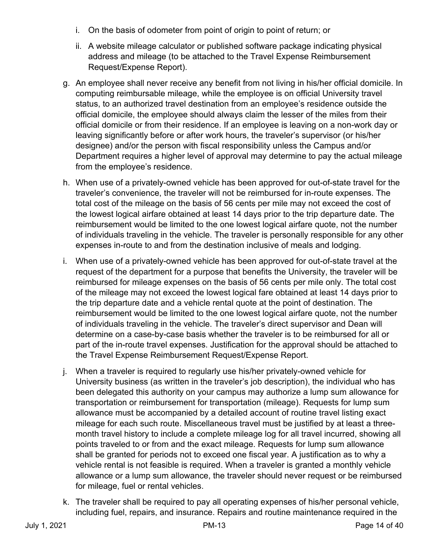- i. On the basis of odometer from point of origin to point of return; or
- ii. A website mileage calculator or published software package indicating physical address and mileage (to be attached to the Travel Expense Reimbursement Request/Expense Report).
- g. An employee shall never receive any benefit from not living in his/her official domicile. In computing reimbursable mileage, while the employee is on official University travel status, to an authorized travel destination from an employee's residence outside the official domicile, the employee should always claim the lesser of the miles from their official domicile or from their residence. If an employee is leaving on a non-work day or leaving significantly before or after work hours, the traveler's supervisor (or his/her designee) and/or the person with fiscal responsibility unless the Campus and/or Department requires a higher level of approval may determine to pay the actual mileage from the employee's residence.
- h. When use of a privately-owned vehicle has been approved for out-of-state travel for the traveler's convenience, the traveler will not be reimbursed for in-route expenses. The total cost of the mileage on the basis of 56 cents per mile may not exceed the cost of the lowest logical airfare obtained at least 14 days prior to the trip departure date. The reimbursement would be limited to the one lowest logical airfare quote, not the number of individuals traveling in the vehicle. The traveler is personally responsible for any other expenses in-route to and from the destination inclusive of meals and lodging.
- i. When use of a privately-owned vehicle has been approved for out-of-state travel at the request of the department for a purpose that benefits the University, the traveler will be reimbursed for mileage expenses on the basis of 56 cents per mile only. The total cost of the mileage may not exceed the lowest logical fare obtained at least 14 days prior to the trip departure date and a vehicle rental quote at the point of destination. The reimbursement would be limited to the one lowest logical airfare quote, not the number of individuals traveling in the vehicle. The traveler's direct supervisor and Dean will determine on a case-by-case basis whether the traveler is to be reimbursed for all or part of the in-route travel expenses. Justification for the approval should be attached to the Travel Expense Reimbursement Request/Expense Report.
- j. When a traveler is required to regularly use his/her privately-owned vehicle for University business (as written in the traveler's job description), the individual who has been delegated this authority on your campus may authorize a lump sum allowance for transportation or reimbursement for transportation (mileage). Requests for lump sum allowance must be accompanied by a detailed account of routine travel listing exact mileage for each such route. Miscellaneous travel must be justified by at least a threemonth travel history to include a complete mileage log for all travel incurred, showing all points traveled to or from and the exact mileage. Requests for lump sum allowance shall be granted for periods not to exceed one fiscal year. A justification as to why a vehicle rental is not feasible is required. When a traveler is granted a monthly vehicle allowance or a lump sum allowance, the traveler should never request or be reimbursed for mileage, fuel or rental vehicles.
- k. The traveler shall be required to pay all operating expenses of his/her personal vehicle, including fuel, repairs, and insurance. Repairs and routine maintenance required in the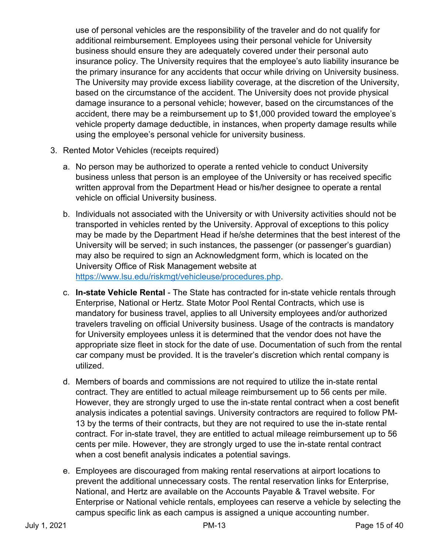use of personal vehicles are the responsibility of the traveler and do not qualify for additional reimbursement. Employees using their personal vehicle for University business should ensure they are adequately covered under their personal auto insurance policy. The University requires that the employee's auto liability insurance be the primary insurance for any accidents that occur while driving on University business. The University may provide excess liability coverage, at the discretion of the University, based on the circumstance of the accident. The University does not provide physical damage insurance to a personal vehicle; however, based on the circumstances of the accident, there may be a reimbursement up to \$1,000 provided toward the employee's vehicle property damage deductible, in instances, when property damage results while using the employee's personal vehicle for university business.

- 3. Rented Motor Vehicles (receipts required)
	- a. No person may be authorized to operate a rented vehicle to conduct University business unless that person is an employee of the University or has received specific written approval from the Department Head or his/her designee to operate a rental vehicle on official University business.
	- b. Individuals not associated with the University or with University activities should not be transported in vehicles rented by the University. Approval of exceptions to this policy may be made by the Department Head if he/she determines that the best interest of the University will be served; in such instances, the passenger (or passenger's guardian) may also be required to sign an Acknowledgment form, which is located on the University Office of Risk Management website at https://www.lsu.edu/riskmgt/vehicleuse/procedures.php.
	- c. **In-state Vehicle Rental** The State has contracted for in-state vehicle rentals through Enterprise, National or Hertz. State Motor Pool Rental Contracts, which use is mandatory for business travel, applies to all University employees and/or authorized travelers traveling on official University business. Usage of the contracts is mandatory for University employees unless it is determined that the vendor does not have the appropriate size fleet in stock for the date of use. Documentation of such from the rental car company must be provided. It is the traveler's discretion which rental company is utilized.
	- d. Members of boards and commissions are not required to utilize the in-state rental contract. They are entitled to actual mileage reimbursement up to 56 cents per mile. However, they are strongly urged to use the in-state rental contract when a cost benefit analysis indicates a potential savings. University contractors are required to follow PM-13 by the terms of their contracts, but they are not required to use the in-state rental contract. For in-state travel, they are entitled to actual mileage reimbursement up to 56 cents per mile. However, they are strongly urged to use the in-state rental contract when a cost benefit analysis indicates a potential savings.
	- e. Employees are discouraged from making rental reservations at airport locations to prevent the additional unnecessary costs. The rental reservation links for Enterprise, National, and Hertz are available on the Accounts Payable & Travel website. For Enterprise or National vehicle rentals, employees can reserve a vehicle by selecting the campus specific link as each campus is assigned a unique accounting number.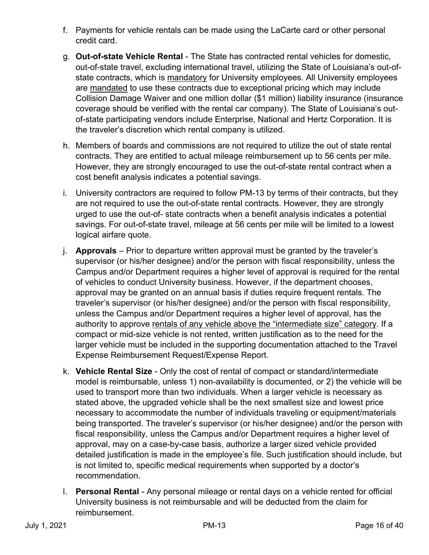- f. Payments for vehicle rentals can be made using the LaCarte card or other personal credit card.
- g. **Out-of-state Vehicle Rental** The State has contracted rental vehicles for domestic, out-of-state travel, excluding international travel, utilizing the State of Louisiana's out-ofstate contracts, which is mandatory for University employees. All University employees are mandated to use these contracts due to exceptional pricing which may include Collision Damage Waiver and one million dollar (\$1 million) liability insurance (insurance coverage should be verified with the rental car company). The State of Louisiana's outof-state participating vendors include Enterprise, National and Hertz Corporation. It is the traveler's discretion which rental company is utilized.
- h. Members of boards and commissions are not required to utilize the out of state rental contracts. They are entitled to actual mileage reimbursement up to 56 cents per mile. However, they are strongly encouraged to use the out-of-state rental contract when a cost benefit analysis indicates a potential savings.
- i. University contractors are required to follow PM-13 by terms of their contracts, but they are not required to use the out-of-state rental contracts. However, they are strongly urged to use the out-of- state contracts when a benefit analysis indicates a potential savings. For out-of-state travel, mileage at 56 cents per mile will be limited to a lowest logical airfare quote.
- j. **Approvals** Prior to departure written approval must be granted by the traveler's supervisor (or his/her designee) and/or the person with fiscal responsibility, unless the Campus and/or Department requires a higher level of approval is required for the rental of vehicles to conduct University business. However, if the department chooses, approval may be granted on an annual basis if duties require frequent rentals. The traveler's supervisor (or his/her designee) and/or the person with fiscal responsibility, unless the Campus and/or Department requires a higher level of approval, has the authority to approve rentals of any vehicle above the "intermediate size" category. If a compact or mid-size vehicle is not rented, written justification as to the need for the larger vehicle must be included in the supporting documentation attached to the Travel Expense Reimbursement Request/Expense Report.
- k. **Vehicle Rental Size** Only the cost of rental of compact or standard/intermediate model is reimbursable, unless 1) non-availability is documented, or 2) the vehicle will be used to transport more than two individuals. When a larger vehicle is necessary as stated above, the upgraded vehicle shall be the next smallest size and lowest price necessary to accommodate the number of individuals traveling or equipment/materials being transported. The traveler's supervisor (or his/her designee) and/or the person with fiscal responsibility, unless the Campus and/or Department requires a higher level of approval, may on a case-by-case basis, authorize a larger sized vehicle provided detailed justification is made in the employee's file. Such justification should include, but is not limited to, specific medical requirements when supported by a doctor's recommendation.
- l. **Personal Rental** Any personal mileage or rental days on a vehicle rented for official University business is not reimbursable and will be deducted from the claim for reimbursement.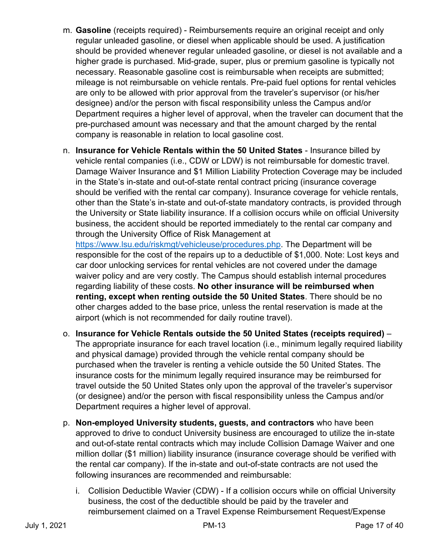- m. **Gasoline** (receipts required) Reimbursements require an original receipt and only regular unleaded gasoline, or diesel when applicable should be used. A justification should be provided whenever regular unleaded gasoline, or diesel is not available and a higher grade is purchased. Mid-grade, super, plus or premium gasoline is typically not necessary. Reasonable gasoline cost is reimbursable when receipts are submitted; mileage is not reimbursable on vehicle rentals. Pre-paid fuel options for rental vehicles are only to be allowed with prior approval from the traveler's supervisor (or his/her designee) and/or the person with fiscal responsibility unless the Campus and/or Department requires a higher level of approval, when the traveler can document that the pre-purchased amount was necessary and that the amount charged by the rental company is reasonable in relation to local gasoline cost.
- n. **Insurance for Vehicle Rentals within the 50 United States** Insurance billed by vehicle rental companies (i.e., CDW or LDW) is not reimbursable for domestic travel. Damage Waiver Insurance and \$1 Million Liability Protection Coverage may be included in the State's in-state and out-of-state rental contract pricing (insurance coverage should be verified with the rental car company). Insurance coverage for vehicle rentals, other than the State's in-state and out-of-state mandatory contracts, is provided through the University or State liability insurance. If a collision occurs while on official University business, the accident should be reported immediately to the rental car company and through the University Office of Risk Management at

https://www.lsu.edu/riskmgt/vehicleuse/procedures.php. The Department will be responsible for the cost of the repairs up to a deductible of \$1,000. Note: Lost keys and car door unlocking services for rental vehicles are not covered under the damage waiver policy and are very costly. The Campus should establish internal procedures regarding liability of these costs. **No other insurance will be reimbursed when renting, except when renting outside the 50 United States**. There should be no other charges added to the base price, unless the rental reservation is made at the airport (which is not recommended for daily routine travel).

- o. **Insurance for Vehicle Rentals outside the 50 United States (receipts required)** The appropriate insurance for each travel location (i.e., minimum legally required liability and physical damage) provided through the vehicle rental company should be purchased when the traveler is renting a vehicle outside the 50 United States. The insurance costs for the minimum legally required insurance may be reimbursed for travel outside the 50 United States only upon the approval of the traveler's supervisor (or designee) and/or the person with fiscal responsibility unless the Campus and/or Department requires a higher level of approval.
- p. **Non-employed University students, guests, and contractors** who have been approved to drive to conduct University business are encouraged to utilize the in-state and out-of-state rental contracts which may include Collision Damage Waiver and one million dollar (\$1 million) liability insurance (insurance coverage should be verified with the rental car company). If the in-state and out-of-state contracts are not used the following insurances are recommended and reimbursable:
	- i. Collision Deductible Wavier (CDW) If a collision occurs while on official University business, the cost of the deductible should be paid by the traveler and reimbursement claimed on a Travel Expense Reimbursement Request/Expense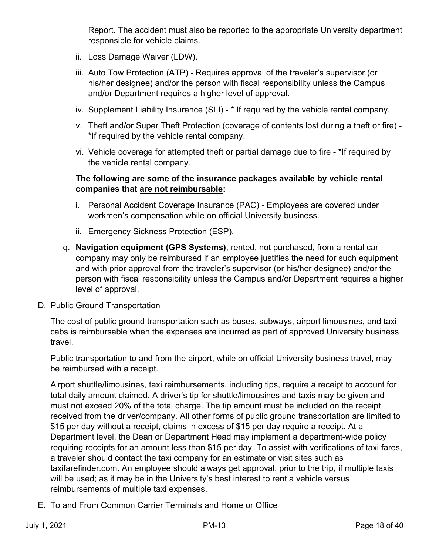Report. The accident must also be reported to the appropriate University department responsible for vehicle claims.

- ii. Loss Damage Waiver (LDW).
- iii. Auto Tow Protection (ATP) Requires approval of the traveler's supervisor (or his/her designee) and/or the person with fiscal responsibility unless the Campus and/or Department requires a higher level of approval.
- iv. Supplement Liability Insurance (SLI) \* If required by the vehicle rental company.
- v. Theft and/or Super Theft Protection (coverage of contents lost during a theft or fire) \*If required by the vehicle rental company.
- vi. Vehicle coverage for attempted theft or partial damage due to fire \*If required by the vehicle rental company.

# **The following are some of the insurance packages available by vehicle rental companies that are not reimbursable:**

- i. Personal Accident Coverage Insurance (PAC) Employees are covered under workmen's compensation while on official University business.
- ii. Emergency Sickness Protection (ESP).
- q. **Navigation equipment (GPS Systems)**, rented, not purchased, from a rental car company may only be reimbursed if an employee justifies the need for such equipment and with prior approval from the traveler's supervisor (or his/her designee) and/or the person with fiscal responsibility unless the Campus and/or Department requires a higher level of approval.
- D. Public Ground Transportation

The cost of public ground transportation such as buses, subways, airport limousines, and taxi cabs is reimbursable when the expenses are incurred as part of approved University business travel.

Public transportation to and from the airport, while on official University business travel, may be reimbursed with a receipt.

Airport shuttle/limousines, taxi reimbursements, including tips, require a receipt to account for total daily amount claimed. A driver's tip for shuttle/limousines and taxis may be given and must not exceed 20% of the total charge. The tip amount must be included on the receipt received from the driver/company. All other forms of public ground transportation are limited to \$15 per day without a receipt, claims in excess of \$15 per day require a receipt. At a Department level, the Dean or Department Head may implement a department-wide policy requiring receipts for an amount less than \$15 per day. To assist with verifications of taxi fares, a traveler should contact the taxi company for an estimate or visit sites such as taxifarefinder.com. An employee should always get approval, prior to the trip, if multiple taxis will be used; as it may be in the University's best interest to rent a vehicle versus reimbursements of multiple taxi expenses.

E. To and From Common Carrier Terminals and Home or Office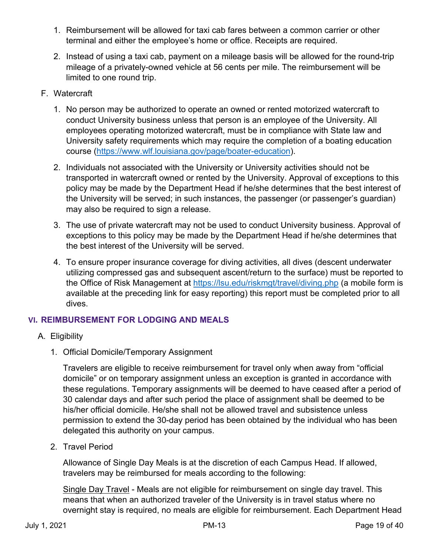- 1. Reimbursement will be allowed for taxi cab fares between a common carrier or other terminal and either the employee's home or office. Receipts are required.
- 2. Instead of using a taxi cab, payment on a mileage basis will be allowed for the round-trip mileage of a privately-owned vehicle at 56 cents per mile. The reimbursement will be limited to one round trip.
- F. Watercraft
	- 1. No person may be authorized to operate an owned or rented motorized watercraft to conduct University business unless that person is an employee of the University. All employees operating motorized watercraft, must be in compliance with State law and University safety requirements which may require the completion of a boating education course (https://www.wlf.louisiana.gov/page/boater-education).
	- 2. Individuals not associated with the University or University activities should not be transported in watercraft owned or rented by the University. Approval of exceptions to this policy may be made by the Department Head if he/she determines that the best interest of the University will be served; in such instances, the passenger (or passenger's guardian) may also be required to sign a release.
	- 3. The use of private watercraft may not be used to conduct University business. Approval of exceptions to this policy may be made by the Department Head if he/she determines that the best interest of the University will be served.
	- 4. To ensure proper insurance coverage for diving activities, all dives (descent underwater utilizing compressed gas and subsequent ascent/return to the surface) must be reported to the Office of Risk Management at https://lsu.edu/riskmgt/travel/diving.php (a mobile form is available at the preceding link for easy reporting) this report must be completed prior to all dives.

# **VI. REIMBURSEMENT FOR LODGING AND MEALS**

- A. Eligibility
	- 1. Official Domicile/Temporary Assignment

Travelers are eligible to receive reimbursement for travel only when away from "official domicile" or on temporary assignment unless an exception is granted in accordance with these regulations. Temporary assignments will be deemed to have ceased after a period of 30 calendar days and after such period the place of assignment shall be deemed to be his/her official domicile. He/she shall not be allowed travel and subsistence unless permission to extend the 30-day period has been obtained by the individual who has been delegated this authority on your campus.

2. Travel Period

Allowance of Single Day Meals is at the discretion of each Campus Head. If allowed, travelers may be reimbursed for meals according to the following:

Single Day Travel - Meals are not eligible for reimbursement on single day travel. This means that when an authorized traveler of the University is in travel status where no overnight stay is required, no meals are eligible for reimbursement. Each Department Head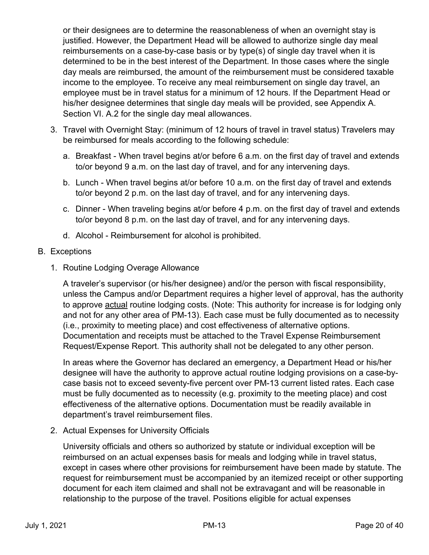<span id="page-20-0"></span>or their designees are to determine the reasonableness of when an overnight stay is justified. However, the Department Head will be allowed to authorize single day meal reimbursements on a case-by-case basis or by type(s) of single day travel when it is determined to be in the best interest of the Department. In those cases where the single day meals are reimbursed, the amount of the reimbursement must be considered taxable income to the employee. To receive any meal reimbursement on single day travel, an employee must be in travel status for a minimum of 12 hours. If the Department Head or his/her designee determines that single day meals will be provided, see Appendix A. Section VI. A.2 for the single day meal allowances.

- 3. Travel with Overnight Stay: (minimum of 12 hours of travel in travel status) Travelers may be reimbursed for meals according to the following schedule:
	- a. Breakfast When travel begins at/or before 6 a.m. on the first day of travel and extends to/or beyond 9 a.m. on the last day of travel, and for any intervening days.
	- b. Lunch When travel begins at/or before 10 a.m. on the first day of travel and extends to/or beyond 2 p.m. on the last day of travel, and for any intervening days.
	- c. Dinner When traveling begins at/or before 4 p.m. on the first day of travel and extends to/or beyond 8 p.m. on the last day of travel, and for any intervening days.
	- d. Alcohol Reimbursement for alcohol is prohibited.

# B. Exceptions

1. Routine Lodging Overage Allowance

A traveler's supervisor (or his/her designee) and/or the person with fiscal responsibility, unless the Campus and/or Department requires a higher level of approval, has the authority to approve actual routine lodging costs. (Note: This authority for increase is for lodging only and not for any other area of PM-13). Each case must be fully documented as to necessity (i.e., proximity to meeting place) and cost effectiveness of alternative options. Documentation and receipts must be attached to the Travel Expense Reimbursement Request/Expense Report. This authority shall not be delegated to any other person.

In areas where the Governor has declared an emergency, a Department Head or his/her designee will have the authority to approve actual routine lodging provisions on a case-bycase basis not to exceed seventy-five percent over PM-13 current listed rates. Each case must be fully documented as to necessity (e.g. proximity to the meeting place) and cost effectiveness of the alternative options. Documentation must be readily available in department's travel reimbursement files.

2. Actual Expenses for University Officials

University officials and others so authorized by statute or individual exception will be reimbursed on an actual expenses basis for meals and lodging while in travel status, except in cases where other provisions for reimbursement have been made by statute. The request for reimbursement must be accompanied by an itemized receipt or other supporting document for each item claimed and shall not be extravagant and will be reasonable in relationship to the purpose of the travel. Positions eligible for actual expenses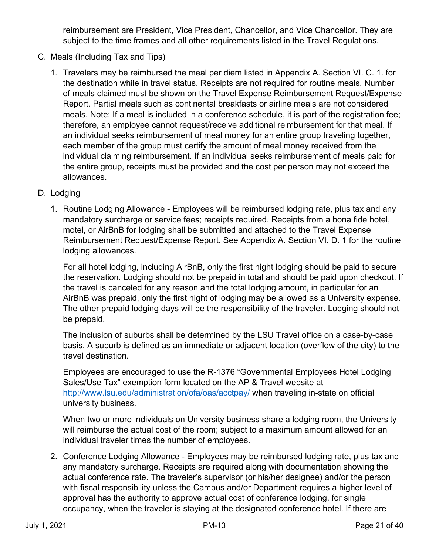reimbursement are President, Vice President, Chancellor, and Vice Chancellor. They are subject to the time frames and all other requirements listed in the Travel Regulations.

- <span id="page-21-0"></span>C. Meals (Including Tax and Tips)
	- 1. Travelers may be reimbursed the meal per diem listed in Appendix A. Section VI. C. 1. for the destination while in travel status. Receipts are not required for routine meals. Number of meals claimed must be shown on the Travel Expense Reimbursement Request/Expense Report. Partial meals such as continental breakfasts or airline meals are not considered meals. Note: If a meal is included in a conference schedule, it is part of the registration fee; therefore, an employee cannot request/receive additional reimbursement for that meal. If an individual seeks reimbursement of meal money for an entire group traveling together, each member of the group must certify the amount of meal money received from the individual claiming reimbursement. If an individual seeks reimbursement of meals paid for the entire group, receipts must be provided and the cost per person may not exceed the allowances.
- D. Lodging
	- 1. Routine Lodging Allowance Employees will be reimbursed lodging rate, plus tax and any mandatory surcharge or service fees; receipts required. Receipts from a bona fide hotel, motel, or AirBnB for lodging shall be submitted and attached to the Travel Expense Reimbursement Request/Expense Report. See Appendix A. Section VI. D. 1 for the routine lodging allowances.

For all hotel lodging, including AirBnB, only the first night lodging should be paid to secure the reservation. Lodging should not be prepaid in total and should be paid upon checkout. If the travel is canceled for any reason and the total lodging amount, in particular for an AirBnB was prepaid, only the first night of lodging may be allowed as a University expense. The other prepaid lodging days will be the responsibility of the traveler. Lodging should not be prepaid.

The inclusion of suburbs shall be determined by the LSU Travel office on a case-by-case basis. A suburb is defined as an immediate or adjacent location (overflow of the city) to the travel destination.

Employees are encouraged to use the R-1376 "Governmental Employees Hotel Lodging Sales/Use Tax" exemption form located on the AP & Travel website at http://www.lsu.edu/administration/ofa/oas/acctpay/ when traveling in-state on official university business.

When two or more individuals on University business share a lodging room, the University will reimburse the actual cost of the room; subject to a maximum amount allowed for an individual traveler times the number of employees.

2. Conference Lodging Allowance - Employees may be reimbursed lodging rate, plus tax and any mandatory surcharge. Receipts are required along with documentation showing the actual conference rate. The traveler's supervisor (or his/her designee) and/or the person with fiscal responsibility unless the Campus and/or Department requires a higher level of approval has the authority to approve actual cost of conference lodging, for single occupancy, when the traveler is staying at the designated conference hotel. If there are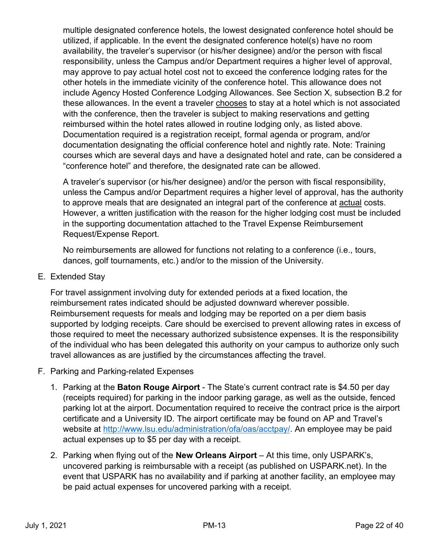multiple designated conference hotels, the lowest designated conference hotel should be utilized, if applicable. In the event the designated conference hotel(s) have no room availability, the traveler's supervisor (or his/her designee) and/or the person with fiscal responsibility, unless the Campus and/or Department requires a higher level of approval, may approve to pay actual hotel cost not to exceed the conference lodging rates for the other hotels in the immediate vicinity of the conference hotel. This allowance does not include Agency Hosted Conference Lodging Allowances. See Section X, subsection B.2 for these allowances. In the event a traveler chooses to stay at a hotel which is not associated with the conference, then the traveler is subject to making reservations and getting reimbursed within the hotel rates allowed in routine lodging only, as listed above. Documentation required is a registration receipt, formal agenda or program, and/or documentation designating the official conference hotel and nightly rate. Note: Training courses which are several days and have a designated hotel and rate, can be considered a "conference hotel" and therefore, the designated rate can be allowed.

A traveler's supervisor (or his/her designee) and/or the person with fiscal responsibility, unless the Campus and/or Department requires a higher level of approval, has the authority to approve meals that are designated an integral part of the conference at actual costs. However, a written justification with the reason for the higher lodging cost must be included in the supporting documentation attached to the Travel Expense Reimbursement Request/Expense Report.

No reimbursements are allowed for functions not relating to a conference (i.e., tours, dances, golf tournaments, etc.) and/or to the mission of the University.

E. Extended Stay

For travel assignment involving duty for extended periods at a fixed location, the reimbursement rates indicated should be adjusted downward wherever possible. Reimbursement requests for meals and lodging may be reported on a per diem basis supported by lodging receipts. Care should be exercised to prevent allowing rates in excess of those required to meet the necessary authorized subsistence expenses. It is the responsibility of the individual who has been delegated this authority on your campus to authorize only such travel allowances as are justified by the circumstances affecting the travel.

- F. Parking and Parking-related Expenses
	- 1. Parking at the **Baton Rouge Airport** The State's current contract rate is \$4.50 per day (receipts required) for parking in the indoor parking garage, as well as the outside, fenced parking lot at the airport. Documentation required to receive the contract price is the airport certificate and a University ID. The airport certificate may be found on AP and Travel's website at http://www.lsu.edu/administration/ofa/oas/acctpay/. An employee may be paid actual expenses up to \$5 per day with a receipt.
	- 2. Parking when flying out of the **New Orleans Airport** At this time, only USPARK's, uncovered parking is reimbursable with a receipt (as published on USPARK.net). In the event that USPARK has no availability and if parking at another facility, an employee may be paid actual expenses for uncovered parking with a receipt.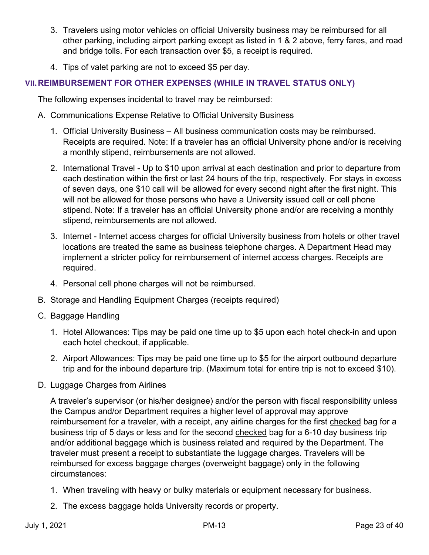- 3. Travelers using motor vehicles on official University business may be reimbursed for all other parking, including airport parking except as listed in 1 & 2 above, ferry fares, and road and bridge tolls. For each transaction over \$5, a receipt is required.
- 4. Tips of valet parking are not to exceed \$5 per day.

# **VII.REIMBURSEMENT FOR OTHER EXPENSES (WHILE IN TRAVEL STATUS ONLY)**

The following expenses incidental to travel may be reimbursed:

- A. Communications Expense Relative to Official University Business
	- 1. Official University Business All business communication costs may be reimbursed. Receipts are required. Note: If a traveler has an official University phone and/or is receiving a monthly stipend, reimbursements are not allowed.
	- 2. International Travel Up to \$10 upon arrival at each destination and prior to departure from each destination within the first or last 24 hours of the trip, respectively. For stays in excess of seven days, one \$10 call will be allowed for every second night after the first night. This will not be allowed for those persons who have a University issued cell or cell phone stipend. Note: If a traveler has an official University phone and/or are receiving a monthly stipend, reimbursements are not allowed.
	- 3. Internet Internet access charges for official University business from hotels or other travel locations are treated the same as business telephone charges. A Department Head may implement a stricter policy for reimbursement of internet access charges. Receipts are required.
	- 4. Personal cell phone charges will not be reimbursed.
- B. Storage and Handling Equipment Charges (receipts required)
- C. Baggage Handling
	- 1. Hotel Allowances: Tips may be paid one time up to \$5 upon each hotel check-in and upon each hotel checkout, if applicable.
	- 2. Airport Allowances: Tips may be paid one time up to \$5 for the airport outbound departure trip and for the inbound departure trip. (Maximum total for entire trip is not to exceed \$10).
- D. Luggage Charges from Airlines

A traveler's supervisor (or his/her designee) and/or the person with fiscal responsibility unless the Campus and/or Department requires a higher level of approval may approve reimbursement for a traveler, with a receipt, any airline charges for the first checked bag for a business trip of 5 days or less and for the second checked bag for a 6-10 day business trip and/or additional baggage which is business related and required by the Department. The traveler must present a receipt to substantiate the luggage charges. Travelers will be reimbursed for excess baggage charges (overweight baggage) only in the following circumstances:

- 1. When traveling with heavy or bulky materials or equipment necessary for business.
- 2. The excess baggage holds University records or property.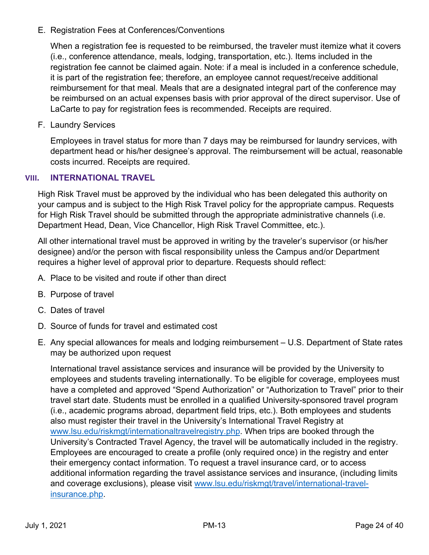E. Registration Fees at Conferences/Conventions

When a registration fee is requested to be reimbursed, the traveler must itemize what it covers (i.e., conference attendance, meals, lodging, transportation, etc.). Items included in the registration fee cannot be claimed again. Note: if a meal is included in a conference schedule, it is part of the registration fee; therefore, an employee cannot request/receive additional reimbursement for that meal. Meals that are a designated integral part of the conference may be reimbursed on an actual expenses basis with prior approval of the direct supervisor. Use of LaCarte to pay for registration fees is recommended. Receipts are required.

F. Laundry Services

Employees in travel status for more than 7 days may be reimbursed for laundry services, with department head or his/her designee's approval. The reimbursement will be actual, reasonable costs incurred. Receipts are required.

# **VIII. INTERNATIONAL TRAVEL**

High Risk Travel must be approved by the individual who has been delegated this authority on your campus and is subject to the High Risk Travel policy for the appropriate campus. Requests for High Risk Travel should be submitted through the appropriate administrative channels (i.e. Department Head, Dean, Vice Chancellor, High Risk Travel Committee, etc.).

All other international travel must be approved in writing by the traveler's supervisor (or his/her designee) and/or the person with fiscal responsibility unless the Campus and/or Department requires a higher level of approval prior to departure. Requests should reflect:

- A. Place to be visited and route if other than direct
- B. Purpose of travel
- C. Dates of travel
- D. Source of funds for travel and estimated cost
- E. Any special allowances for meals and lodging reimbursement U.S. Department of State rates may be authorized upon request

International travel assistance services and insurance will be provided by the University to employees and students traveling internationally. To be eligible for coverage, employees must have a completed and approved "Spend Authorization" or "Authorization to Travel" prior to their travel start date. Students must be enrolled in a qualified University-sponsored travel program (i.e., academic programs abroad, department field trips, etc.). Both employees and students also must register their travel in the University's International Travel Registry at www.lsu.edu/riskmgt/internationaltravelregistry.php. When trips are booked through the University's Contracted Travel Agency, the travel will be automatically included in the registry. Employees are encouraged to create a profile (only required once) in the registry and enter their emergency contact information. To request a travel insurance card, or to access additional information regarding the travel assistance services and insurance, (including limits and coverage exclusions), please visit www.lsu.edu/riskmgt/travel/international-travelinsurance.php.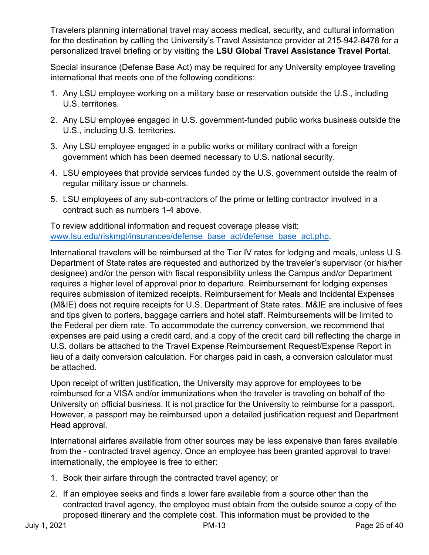Travelers planning international travel may access medical, security, and cultural information for the destination by calling the University's Travel Assistance provider at 215-942-8478 for a personalized travel briefing or by visiting the **LSU Global Travel Assistance Travel Portal**.

Special insurance (Defense Base Act) may be required for any University employee traveling international that meets one of the following conditions:

- 1. Any LSU employee working on a military base or reservation outside the U.S., including U.S. territories.
- 2. Any LSU employee engaged in U.S. government-funded public works business outside the U.S., including U.S. territories.
- 3. Any LSU employee engaged in a public works or military contract with a foreign government which has been deemed necessary to U.S. national security.
- 4. LSU employees that provide services funded by the U.S. government outside the realm of regular military issue or channels.
- 5. LSU employees of any sub-contractors of the prime or letting contractor involved in a contract such as numbers 1-4 above.

To review additional information and request coverage please visit: www.lsu.edu/riskmgt/insurances/defense\_base\_act/defense\_base\_act.php.

International travelers will be reimbursed at the Tier IV rates for lodging and meals, unless U.S. Department of State rates are requested and authorized by the traveler's supervisor (or his/her designee) and/or the person with fiscal responsibility unless the Campus and/or Department requires a higher level of approval prior to departure. Reimbursement for lodging expenses requires submission of itemized receipts. Reimbursement for Meals and Incidental Expenses (M&IE) does not require receipts for U.S. Department of State rates. M&IE are inclusive of fees and tips given to porters, baggage carriers and hotel staff. Reimbursements will be limited to the Federal per diem rate. To accommodate the currency conversion, we recommend that expenses are paid using a credit card, and a copy of the credit card bill reflecting the charge in U.S. dollars be attached to the Travel Expense Reimbursement Request/Expense Report in lieu of a daily conversion calculation. For charges paid in cash, a conversion calculator must be attached.

Upon receipt of written justification, the University may approve for employees to be reimbursed for a VISA and/or immunizations when the traveler is traveling on behalf of the University on official business. It is not practice for the University to reimburse for a passport. However, a passport may be reimbursed upon a detailed justification request and Department Head approval.

International airfares available from other sources may be less expensive than fares available from the - contracted travel agency. Once an employee has been granted approval to travel internationally, the employee is free to either:

- 1. Book their airfare through the contracted travel agency; or
- 2. If an employee seeks and finds a lower fare available from a source other than the contracted travel agency, the employee must obtain from the outside source a copy of the proposed itinerary and the complete cost. This information must be provided to the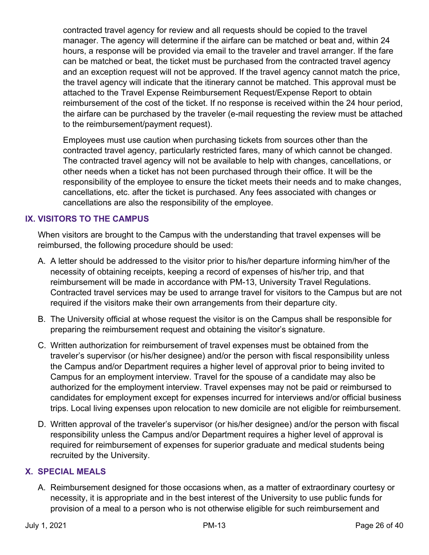contracted travel agency for review and all requests should be copied to the travel manager. The agency will determine if the airfare can be matched or beat and, within 24 hours, a response will be provided via email to the traveler and travel arranger. If the fare can be matched or beat, the ticket must be purchased from the contracted travel agency and an exception request will not be approved. If the travel agency cannot match the price, the travel agency will indicate that the itinerary cannot be matched. This approval must be attached to the Travel Expense Reimbursement Request/Expense Report to obtain reimbursement of the cost of the ticket. If no response is received within the 24 hour period, the airfare can be purchased by the traveler (e-mail requesting the review must be attached to the reimbursement/payment request).

Employees must use caution when purchasing tickets from sources other than the contracted travel agency, particularly restricted fares, many of which cannot be changed. The contracted travel agency will not be available to help with changes, cancellations, or other needs when a ticket has not been purchased through their office. It will be the responsibility of the employee to ensure the ticket meets their needs and to make changes, cancellations, etc. after the ticket is purchased. Any fees associated with changes or cancellations are also the responsibility of the employee.

# **IX. VISITORS TO THE CAMPUS**

When visitors are brought to the Campus with the understanding that travel expenses will be reimbursed, the following procedure should be used:

- A. A letter should be addressed to the visitor prior to his/her departure informing him/her of the necessity of obtaining receipts, keeping a record of expenses of his/her trip, and that reimbursement will be made in accordance with PM-13, University Travel Regulations. Contracted travel services may be used to arrange travel for visitors to the Campus but are not required if the visitors make their own arrangements from their departure city.
- B. The University official at whose request the visitor is on the Campus shall be responsible for preparing the reimbursement request and obtaining the visitor's signature.
- C. Written authorization for reimbursement of travel expenses must be obtained from the traveler's supervisor (or his/her designee) and/or the person with fiscal responsibility unless the Campus and/or Department requires a higher level of approval prior to being invited to Campus for an employment interview. Travel for the spouse of a candidate may also be authorized for the employment interview. Travel expenses may not be paid or reimbursed to candidates for employment except for expenses incurred for interviews and/or official business trips. Local living expenses upon relocation to new domicile are not eligible for reimbursement.
- D. Written approval of the traveler's supervisor (or his/her designee) and/or the person with fiscal responsibility unless the Campus and/or Department requires a higher level of approval is required for reimbursement of expenses for superior graduate and medical students being recruited by the University.

# **X. SPECIAL MEALS**

A. Reimbursement designed for those occasions when, as a matter of extraordinary courtesy or necessity, it is appropriate and in the best interest of the University to use public funds for provision of a meal to a person who is not otherwise eligible for such reimbursement and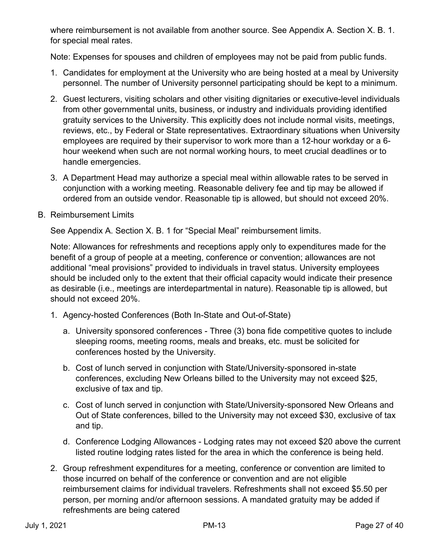where reimbursement is not available from another source. See Appendix A. Section X. B. 1. for special meal rates.

Note: Expenses for spouses and children of employees may not be paid from public funds.

- 1. Candidates for employment at the University who are being hosted at a meal by University personnel. The number of University personnel participating should be kept to a minimum.
- 2. Guest lecturers, visiting scholars and other visiting dignitaries or executive-level individuals from other governmental units, business, or industry and individuals providing identified gratuity services to the University. This explicitly does not include normal visits, meetings, reviews, etc., by Federal or State representatives. Extraordinary situations when University employees are required by their supervisor to work more than a 12-hour workday or a 6 hour weekend when such are not normal working hours, to meet crucial deadlines or to handle emergencies.
- 3. A Department Head may authorize a special meal within allowable rates to be served in conjunction with a working meeting. Reasonable delivery fee and tip may be allowed if ordered from an outside vendor. Reasonable tip is allowed, but should not exceed 20%.
- B. Reimbursement Limits

See Appendix A. Section X. B. 1 for "Special Meal" reimbursement limits.

Note: Allowances for refreshments and receptions apply only to expenditures made for the benefit of a group of people at a meeting, conference or convention; allowances are not additional "meal provisions" provided to individuals in travel status. University employees should be included only to the extent that their official capacity would indicate their presence as desirable (i.e., meetings are interdepartmental in nature). Reasonable tip is allowed, but should not exceed 20%.

- 1. Agency-hosted Conferences (Both In-State and Out-of-State)
	- a. University sponsored conferences Three (3) bona fide competitive quotes to include sleeping rooms, meeting rooms, meals and breaks, etc. must be solicited for conferences hosted by the University.
	- b. Cost of lunch served in conjunction with State/University-sponsored in-state conferences, excluding New Orleans billed to the University may not exceed \$25, exclusive of tax and tip.
	- c. Cost of lunch served in conjunction with State/University-sponsored New Orleans and Out of State conferences, billed to the University may not exceed \$30, exclusive of tax and tip.
	- d. Conference Lodging Allowances Lodging rates may not exceed \$20 above the current listed routine lodging rates listed for the area in which the conference is being held.
- 2. Group refreshment expenditures for a meeting, conference or convention are limited to those incurred on behalf of the conference or convention and are not eligible reimbursement claims for individual travelers. Refreshments shall not exceed \$5.50 per person, per morning and/or afternoon sessions. A mandated gratuity may be added if refreshments are being catered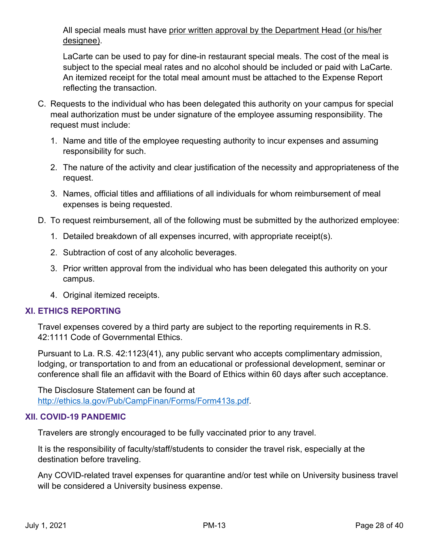All special meals must have prior written approval by the Department Head (or his/her designee).

LaCarte can be used to pay for dine-in restaurant special meals. The cost of the meal is subject to the special meal rates and no alcohol should be included or paid with LaCarte. An itemized receipt for the total meal amount must be attached to the Expense Report reflecting the transaction.

- C. Requests to the individual who has been delegated this authority on your campus for special meal authorization must be under signature of the employee assuming responsibility. The request must include:
	- 1. Name and title of the employee requesting authority to incur expenses and assuming responsibility for such.
	- 2. The nature of the activity and clear justification of the necessity and appropriateness of the request.
	- 3. Names, official titles and affiliations of all individuals for whom reimbursement of meal expenses is being requested.
- D. To request reimbursement, all of the following must be submitted by the authorized employee:
	- 1. Detailed breakdown of all expenses incurred, with appropriate receipt(s).
	- 2. Subtraction of cost of any alcoholic beverages.
	- 3. Prior written approval from the individual who has been delegated this authority on your campus.
	- 4. Original itemized receipts.

# **XI. ETHICS REPORTING**

Travel expenses covered by a third party are subject to the reporting requirements in R.S. 42:1111 Code of Governmental Ethics.

Pursuant to La. R.S. 42:1123(41), any public servant who accepts complimentary admission, lodging, or transportation to and from an educational or professional development, seminar or conference shall file an affidavit with the Board of Ethics within 60 days after such acceptance.

The Disclosure Statement can be found at http://ethics.la.gov/Pub/CampFinan/Forms/Form413s.pdf.

# **XII. COVID-19 PANDEMIC**

Travelers are strongly encouraged to be fully vaccinated prior to any travel.

It is the responsibility of faculty/staff/students to consider the travel risk, especially at the destination before traveling.

Any COVID-related travel expenses for quarantine and/or test while on University business travel will be considered a University business expense.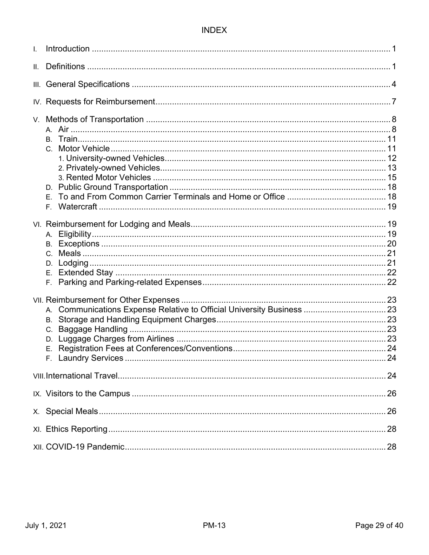# **INDEX**

| $\mathsf{L}$ |                           |  |
|--------------|---------------------------|--|
|              |                           |  |
|              |                           |  |
|              |                           |  |
|              | E.                        |  |
|              | Е.                        |  |
|              | В.<br>$C_{1}$<br>D.<br>Ε. |  |
|              |                           |  |
|              |                           |  |
|              |                           |  |
|              |                           |  |
|              |                           |  |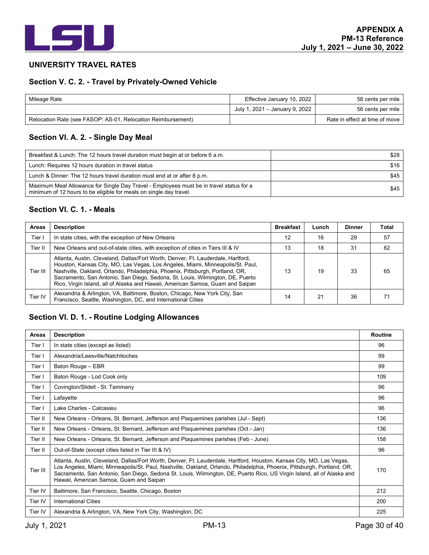

#### **UNIVERSITY TRAVEL RATES**

### **Section V. C. 2. - Travel by Privately-Owned Vehicle**

| Mileage Rate                                                 | Effective January 10, 2022     | 58 cents per mile                |
|--------------------------------------------------------------|--------------------------------|----------------------------------|
|                                                              | July 1, 2021 - January 9, 2022 | 56 cents per mile                |
| Relocation Rate (see FASOP: AS-01, Relocation Reimbursement) |                                | Rate in effect at time of move I |

# **Section VI. A. 2. - Single Day Meal**

| Breakfast & Lunch: The 12 hours travel duration must begin at or before 6 a.m.                                                                                | \$28   |
|---------------------------------------------------------------------------------------------------------------------------------------------------------------|--------|
| Lunch: Requires 12 hours duration in travel status                                                                                                            | \$16   |
| Lunch & Dinner: The 12 hours travel duration must end at or after 8 p.m.                                                                                      | \$45 I |
| Maximum Meal Allowance for Single Day Travel - Employees must be in travel status for a<br>minimum of 12 hours to be eligible for meals on single day travel. | \$45   |

### **Section VI. C. 1. - Meals**

| <b>Areas</b> | <b>Description</b>                                                                                                                                                                                                                                                                                                                                                                                                     | <b>Breakfast</b> | Lunch | <b>Dinner</b> | Total |
|--------------|------------------------------------------------------------------------------------------------------------------------------------------------------------------------------------------------------------------------------------------------------------------------------------------------------------------------------------------------------------------------------------------------------------------------|------------------|-------|---------------|-------|
| Tier I       | In state cities, with the exception of New Orleans                                                                                                                                                                                                                                                                                                                                                                     | 12               | 16    | 29            | 57    |
| Tier II      | New Orleans and out-of-state cities, with exception of cities in Tiers III & IV                                                                                                                                                                                                                                                                                                                                        | 13               | 18    | 31            | 62    |
| Tier III     | Atlanta, Austin, Cleveland, Dallas/Fort Worth, Denver, Ft. Lauderdale, Hartford,<br>Houston, Kansas City, MO, Las Vegas, Los Angeles, Miami, Minneapolis/St. Paul,<br>Nashville, Oakland, Orlando, Philadelphia, Phoenix, Pittsburgh, Portland, OR,<br>Sacramento, San Antonio, San Diego, Sedona, St. Louis, Wilmington, DE, Puerto<br>Rico, Virgin Island, all of Alaska and Hawaii, American Samoa, Guam and Saipan | 13               | 19    | 33            | 65    |
| Tier IV      | Alexandria & Arlington, VA, Baltimore, Boston, Chicago, New York City, San<br>Francisco, Seattle, Washington, DC, and International Cities                                                                                                                                                                                                                                                                             | 14               | 21    | 36            |       |

# **Section VI. D. 1. - Routine Lodging Allowances**

| <b>Areas</b> | <b>Description</b>                                                                                                                                                                                                                                                                                                                                                                                                    | <b>Routine</b> |
|--------------|-----------------------------------------------------------------------------------------------------------------------------------------------------------------------------------------------------------------------------------------------------------------------------------------------------------------------------------------------------------------------------------------------------------------------|----------------|
| Tier I       | In state cities (except as listed)                                                                                                                                                                                                                                                                                                                                                                                    | 96             |
| Tier I       | Alexandria/Leesville/Natchitoches                                                                                                                                                                                                                                                                                                                                                                                     | 99             |
| Tier I       | Baton Rouge - EBR                                                                                                                                                                                                                                                                                                                                                                                                     | 99             |
| Tier I       | Baton Rouge - Lod Cook only                                                                                                                                                                                                                                                                                                                                                                                           | 109            |
| Tier I       | Covington/Slidell - St. Tammany                                                                                                                                                                                                                                                                                                                                                                                       | 96             |
| Tier I       | Lafayette                                                                                                                                                                                                                                                                                                                                                                                                             | 96             |
| Tier I       | Lake Charles - Calcasieu                                                                                                                                                                                                                                                                                                                                                                                              | 96             |
| Tier II      | New Orleans - Orleans, St. Bernard, Jefferson and Plaquemines parishes (Jul - Sept)                                                                                                                                                                                                                                                                                                                                   | 136            |
| Tier II      | New Orleans - Orleans, St. Bernard, Jefferson and Plaquemines parishes (Oct - Jan)                                                                                                                                                                                                                                                                                                                                    | 136            |
| Tier II      | New Orleans - Orleans, St. Bernard, Jefferson and Plaquemines parishes (Feb - June)                                                                                                                                                                                                                                                                                                                                   | 158            |
| Tier II      | Out-of-State (except cities listed in Tier III & IV)                                                                                                                                                                                                                                                                                                                                                                  | 96             |
| Tier III     | Atlanta, Austin, Cleveland, Dallas/Fort Worth, Denver, Ft. Lauderdale, Hartford, Houston, Kansas City, MO, Las Vegas,<br>Los Angeles, Miami, Minneapolis/St. Paul, Nashville, Oakland, Orlando, Philadelphia, Phoenix, Pittsburgh, Portland, OR,<br>Sacramento, San Antonio, San Diego, Sedona St. Louis, Wilmington, DE, Puerto Rico, US Virgin Island, all of Alaska and<br>Hawaii, American Samoa, Guam and Saipan | 170            |
| Tier IV      | Baltimore, San Francisco, Seattle, Chicago, Boston                                                                                                                                                                                                                                                                                                                                                                    | 212            |
| Tier IV      | <b>International Cities</b>                                                                                                                                                                                                                                                                                                                                                                                           | 200            |
| Tier IV      | Alexandria & Arlington, VA, New York City, Washington, DC                                                                                                                                                                                                                                                                                                                                                             | 225            |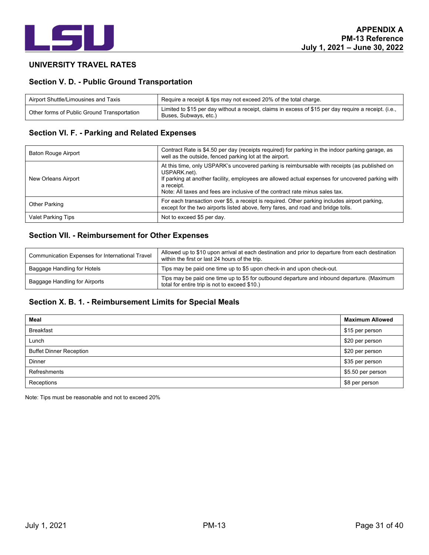

#### **UNIVERSITY TRAVEL RATES**

#### **Section V. D. - Public Ground Transportation**

| Airport Shuttle/Limousines and Taxis        | Require a receipt & tips may not exceed 20% of the total charge.                                                               |  |
|---------------------------------------------|--------------------------------------------------------------------------------------------------------------------------------|--|
| Other forms of Public Ground Transportation | Limited to \$15 per day without a receipt, claims in excess of \$15 per day require a receipt. (i.e.,<br>Buses, Subways, etc.) |  |

# **Section VI. F. - Parking and Related Expenses**

| Baton Rouge Airport       | Contract Rate is \$4.50 per day (receipts required) for parking in the indoor parking garage, as<br>well as the outside, fenced parking lot at the airport.                                                                                                                                                    |  |
|---------------------------|----------------------------------------------------------------------------------------------------------------------------------------------------------------------------------------------------------------------------------------------------------------------------------------------------------------|--|
| New Orleans Airport       | At this time, only USPARK's uncovered parking is reimbursable with receipts (as published on<br>USPARK.net).<br>If parking at another facility, employees are allowed actual expenses for uncovered parking with<br>a receipt.<br>Note: All taxes and fees are inclusive of the contract rate minus sales tax. |  |
| Other Parking             | For each transaction over \$5, a receipt is required. Other parking includes airport parking.<br>except for the two airports listed above, ferry fares, and road and bridge tolls.                                                                                                                             |  |
| <b>Valet Parking Tips</b> | Not to exceed \$5 per day.                                                                                                                                                                                                                                                                                     |  |

#### **Section VII. - Reimbursement for Other Expenses**

| Communication Expenses for International Travel | Allowed up to \$10 upon arrival at each destination and prior to departure from each destination<br>within the first or last 24 hours of the trip. |  |
|-------------------------------------------------|----------------------------------------------------------------------------------------------------------------------------------------------------|--|
| Baggage Handling for Hotels                     | Tips may be paid one time up to \$5 upon check-in and upon check-out.                                                                              |  |
| Baggage Handling for Airports                   | Tips may be paid one time up to \$5 for outbound departure and inbound departure. (Maximum<br>total for entire trip is not to exceed \$10.)        |  |

### **Section X. B. 1. - Reimbursement Limits for Special Meals**

| Meal                           | <b>Maximum Allowed</b> |
|--------------------------------|------------------------|
| <b>Breakfast</b>               | \$15 per person        |
| Lunch                          | \$20 per person        |
| <b>Buffet Dinner Reception</b> | \$20 per person        |
| Dinner                         | \$35 per person        |
| Refreshments                   | \$5.50 per person      |
| Receptions                     | \$8 per person         |

Note: Tips must be reasonable and not to exceed 20%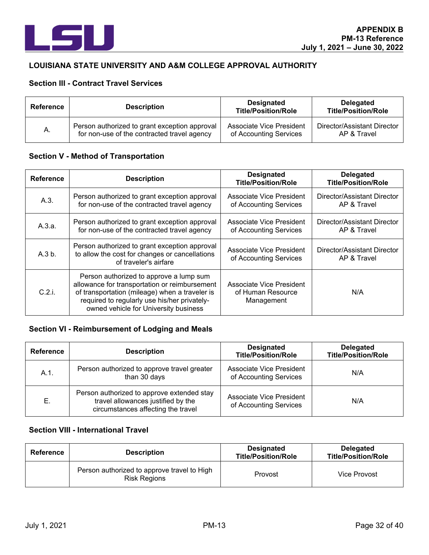

#### **LOUISIANA STATE UNIVERSITY AND A&M COLLEGE APPROVAL AUTHORITY**

# **Section III - Contract Travel Services**

| Reference | <b>Description</b>                            | <b>Designated</b><br><b>Title/Position/Role</b> | <b>Delegated</b><br><b>Title/Position/Role</b> |
|-----------|-----------------------------------------------|-------------------------------------------------|------------------------------------------------|
| Α.        | Person authorized to grant exception approval | Associate Vice President                        | Director/Assistant Director                    |
|           | for non-use of the contracted travel agency   | of Accounting Services                          | AP & Travel                                    |

### **Section V - Method of Transportation**

| <b>Reference</b> | <b>Description</b>                                                                                                                                                                                                                  | <b>Designated</b><br><b>Title/Position/Role</b>             | <b>Delegated</b><br><b>Title/Position/Role</b> |
|------------------|-------------------------------------------------------------------------------------------------------------------------------------------------------------------------------------------------------------------------------------|-------------------------------------------------------------|------------------------------------------------|
| A.3.             | Person authorized to grant exception approval<br>for non-use of the contracted travel agency                                                                                                                                        | Associate Vice President<br>of Accounting Services          | Director/Assistant Director<br>AP & Travel     |
| A.3.a.           | Person authorized to grant exception approval<br>for non-use of the contracted travel agency                                                                                                                                        | Associate Vice President<br>of Accounting Services          | Director/Assistant Director<br>AP & Travel     |
| A.3 b.           | Person authorized to grant exception approval<br>to allow the cost for changes or cancellations<br>of traveler's airfare                                                                                                            | Associate Vice President<br>of Accounting Services          | Director/Assistant Director<br>AP & Travel     |
| C.2.i.           | Person authorized to approve a lump sum<br>allowance for transportation or reimbursement<br>of transportation (mileage) when a traveler is<br>required to regularly use his/her privately-<br>owned vehicle for University business | Associate Vice President<br>of Human Resource<br>Management | N/A                                            |

# **Section VI - Reimbursement of Lodging and Meals**

| <b>Reference</b> | <b>Description</b>                                                                                                     | <b>Designated</b><br><b>Title/Position/Role</b>    | <b>Delegated</b><br><b>Title/Position/Role</b> |
|------------------|------------------------------------------------------------------------------------------------------------------------|----------------------------------------------------|------------------------------------------------|
| $A.1$ .          | Person authorized to approve travel greater<br>than 30 days                                                            | Associate Vice President<br>of Accounting Services | N/A                                            |
| Е.               | Person authorized to approve extended stay<br>travel allowances justified by the<br>circumstances affecting the travel | Associate Vice President<br>of Accounting Services | N/A                                            |

| Reference | <b>Description</b>                                                 | <b>Designated</b><br><b>Title/Position/Role</b> | <b>Delegated</b><br><b>Title/Position/Role</b> |
|-----------|--------------------------------------------------------------------|-------------------------------------------------|------------------------------------------------|
|           | Person authorized to approve travel to High<br><b>Risk Regions</b> | Provost                                         | Vice Provost                                   |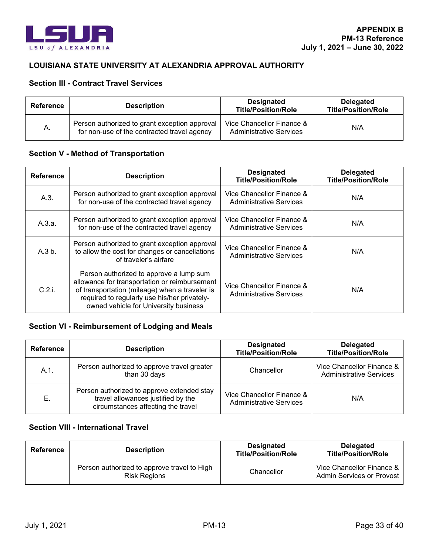

### **LOUISIANA STATE UNIVERSITY AT ALEXANDRIA APPROVAL AUTHORITY**

### **Section III - Contract Travel Services**

| <b>Reference</b> | <b>Description</b>                                                                           | <b>Designated</b><br><b>Title/Position/Role</b>             | <b>Delegated</b><br><b>Title/Position/Role</b> |
|------------------|----------------------------------------------------------------------------------------------|-------------------------------------------------------------|------------------------------------------------|
| А.               | Person authorized to grant exception approval<br>for non-use of the contracted travel agency | Vice Chancellor Finance &<br><b>Administrative Services</b> | N/A                                            |

#### **Section V - Method of Transportation**

| <b>Reference</b> | <b>Description</b>                                                                                                                                                                                                                  | <b>Designated</b><br><b>Title/Position/Role</b>             | <b>Delegated</b><br><b>Title/Position/Role</b> |
|------------------|-------------------------------------------------------------------------------------------------------------------------------------------------------------------------------------------------------------------------------------|-------------------------------------------------------------|------------------------------------------------|
| A.3.             | Person authorized to grant exception approval<br>for non-use of the contracted travel agency                                                                                                                                        | Vice Chancellor Finance &<br><b>Administrative Services</b> | N/A                                            |
| A.3.a.           | Person authorized to grant exception approval<br>for non-use of the contracted travel agency                                                                                                                                        | Vice Chancellor Finance &<br><b>Administrative Services</b> | N/A                                            |
| A.3 b.           | Person authorized to grant exception approval<br>to allow the cost for changes or cancellations<br>of traveler's airfare                                                                                                            | Vice Chancellor Finance &<br><b>Administrative Services</b> | N/A                                            |
| C.2.i.           | Person authorized to approve a lump sum<br>allowance for transportation or reimbursement<br>of transportation (mileage) when a traveler is<br>required to regularly use his/her privately-<br>owned vehicle for University business | Vice Chancellor Finance &<br><b>Administrative Services</b> | N/A                                            |

# **Section VI - Reimbursement of Lodging and Meals**

| <b>Reference</b> | <b>Description</b>                                                                                                     | <b>Designated</b><br><b>Title/Position/Role</b>             | <b>Delegated</b><br><b>Title/Position/Role</b>              |
|------------------|------------------------------------------------------------------------------------------------------------------------|-------------------------------------------------------------|-------------------------------------------------------------|
| $A.1$ .          | Person authorized to approve travel greater<br>than 30 days                                                            | Chancellor                                                  | Vice Chancellor Finance &<br><b>Administrative Services</b> |
| Е.               | Person authorized to approve extended stay<br>travel allowances justified by the<br>circumstances affecting the travel | Vice Chancellor Finance &<br><b>Administrative Services</b> | N/A                                                         |

| Reference | <b>Description</b>                                                 | <b>Designated</b><br><b>Title/Position/Role</b> | <b>Delegated</b><br><b>Title/Position/Role</b>                |
|-----------|--------------------------------------------------------------------|-------------------------------------------------|---------------------------------------------------------------|
|           | Person authorized to approve travel to High<br><b>Risk Regions</b> | Chancellor                                      | Vice Chancellor Finance &<br><b>Admin Services or Provost</b> |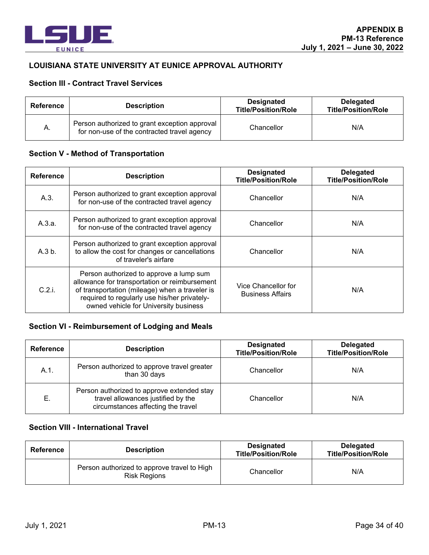

#### **LOUISIANA STATE UNIVERSITY AT EUNICE APPROVAL AUTHORITY**

### **Section III - Contract Travel Services**

| Reference | <b>Description</b>                                                                           | Designated<br><b>Title/Position/Role</b> | <b>Delegated</b><br><b>Title/Position/Role</b> |
|-----------|----------------------------------------------------------------------------------------------|------------------------------------------|------------------------------------------------|
| Α.        | Person authorized to grant exception approval<br>for non-use of the contracted travel agency | Chancellor                               | N/A                                            |

#### **Section V - Method of Transportation**

| <b>Reference</b> | <b>Description</b>                                                                                                                                                                                                                  | <b>Designated</b><br><b>Title/Position/Role</b> | <b>Delegated</b><br><b>Title/Position/Role</b> |
|------------------|-------------------------------------------------------------------------------------------------------------------------------------------------------------------------------------------------------------------------------------|-------------------------------------------------|------------------------------------------------|
| A.3.             | Person authorized to grant exception approval<br>for non-use of the contracted travel agency                                                                                                                                        | Chancellor                                      | N/A                                            |
| A.3.a.           | Person authorized to grant exception approval<br>for non-use of the contracted travel agency                                                                                                                                        | Chancellor                                      | N/A                                            |
| A.3 b.           | Person authorized to grant exception approval<br>to allow the cost for changes or cancellations<br>of traveler's airfare                                                                                                            | Chancellor                                      | N/A                                            |
| C.2i             | Person authorized to approve a lump sum<br>allowance for transportation or reimbursement<br>of transportation (mileage) when a traveler is<br>required to regularly use his/her privately-<br>owned vehicle for University business | Vice Chancellor for<br><b>Business Affairs</b>  | N/A                                            |

# **Section VI - Reimbursement of Lodging and Meals**

| <b>Reference</b> | <b>Description</b>                                                                                                     | <b>Designated</b><br><b>Title/Position/Role</b> | <b>Delegated</b><br><b>Title/Position/Role</b> |
|------------------|------------------------------------------------------------------------------------------------------------------------|-------------------------------------------------|------------------------------------------------|
| $A.1$ .          | Person authorized to approve travel greater<br>than 30 days                                                            | Chancellor                                      | N/A                                            |
| Е.               | Person authorized to approve extended stay<br>travel allowances justified by the<br>circumstances affecting the travel | Chancellor                                      | N/A                                            |

| Reference | <b>Description</b>                                                 | <b>Designated</b><br><b>Title/Position/Role</b> | <b>Delegated</b><br><b>Title/Position/Role</b> |
|-----------|--------------------------------------------------------------------|-------------------------------------------------|------------------------------------------------|
|           | Person authorized to approve travel to High<br><b>Risk Regions</b> | Chancellor                                      | N/A                                            |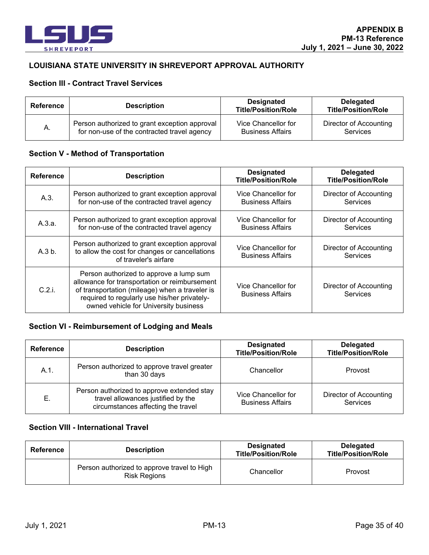

### **LOUISIANA STATE UNIVERSITY IN SHREVEPORT APPROVAL AUTHORITY**

### **Section III - Contract Travel Services**

| Reference | <b>Description</b>                            | <b>Designated</b><br><b>Title/Position/Role</b> | <b>Delegated</b><br><b>Title/Position/Role</b> |
|-----------|-----------------------------------------------|-------------------------------------------------|------------------------------------------------|
| A.        | Person authorized to grant exception approval | Vice Chancellor for                             | Director of Accounting                         |
|           | for non-use of the contracted travel agency   | <b>Business Affairs</b>                         | <b>Services</b>                                |

#### **Section V - Method of Transportation**

| <b>Reference</b> | <b>Description</b>                                                                                                                                                                                                                  | <b>Designated</b><br><b>Title/Position/Role</b> | <b>Delegated</b><br><b>Title/Position/Role</b>   |
|------------------|-------------------------------------------------------------------------------------------------------------------------------------------------------------------------------------------------------------------------------------|-------------------------------------------------|--------------------------------------------------|
| A.3.             | Person authorized to grant exception approval<br>for non-use of the contracted travel agency                                                                                                                                        | Vice Chancellor for<br><b>Business Affairs</b>  | <b>Director of Accounting</b><br><b>Services</b> |
| A.3.a.           | Person authorized to grant exception approval<br>for non-use of the contracted travel agency                                                                                                                                        | Vice Chancellor for<br><b>Business Affairs</b>  | Director of Accounting<br>Services               |
| A.3 b.           | Person authorized to grant exception approval<br>to allow the cost for changes or cancellations<br>of traveler's airfare                                                                                                            | Vice Chancellor for<br><b>Business Affairs</b>  | Director of Accounting<br>Services               |
| C.2.i.           | Person authorized to approve a lump sum<br>allowance for transportation or reimbursement<br>of transportation (mileage) when a traveler is<br>required to regularly use his/her privately-<br>owned vehicle for University business | Vice Chancellor for<br><b>Business Affairs</b>  | Director of Accounting<br>Services               |

# **Section VI - Reimbursement of Lodging and Meals**

| <b>Reference</b> | <b>Description</b>                                                                                                     | <b>Designated</b><br><b>Title/Position/Role</b> | <b>Delegated</b><br><b>Title/Position/Role</b> |
|------------------|------------------------------------------------------------------------------------------------------------------------|-------------------------------------------------|------------------------------------------------|
| A.1.             | Person authorized to approve travel greater<br>than 30 days                                                            | Chancellor                                      | Provost                                        |
| Е.               | Person authorized to approve extended stay<br>travel allowances justified by the<br>circumstances affecting the travel | Vice Chancellor for<br><b>Business Affairs</b>  | Director of Accounting<br>Services             |

| Reference | <b>Description</b>                                                 | <b>Designated</b><br><b>Title/Position/Role</b> | <b>Delegated</b><br><b>Title/Position/Role</b> |
|-----------|--------------------------------------------------------------------|-------------------------------------------------|------------------------------------------------|
|           | Person authorized to approve travel to High<br><b>Risk Regions</b> | Chancellor                                      | Provost                                        |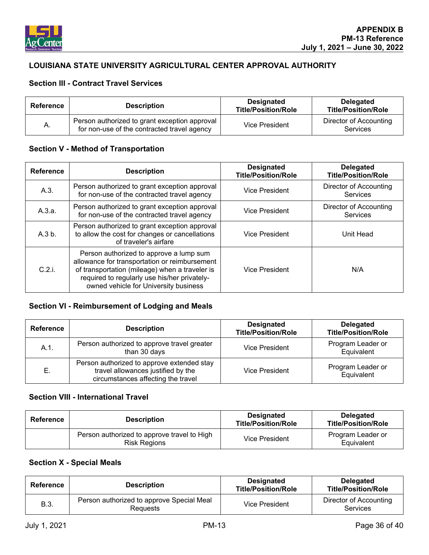

# **LOUISIANA STATE UNIVERSITY AGRICULTURAL CENTER APPROVAL AUTHORITY**

### **Section III - Contract Travel Services**

| Reference | <b>Description</b>                                                                           | <b>Designated</b><br><b>Title/Position/Role</b> | Delegated<br><b>Title/Position/Role</b> |
|-----------|----------------------------------------------------------------------------------------------|-------------------------------------------------|-----------------------------------------|
| А.        | Person authorized to grant exception approval<br>for non-use of the contracted travel agency | <b>Vice President</b>                           | Director of Accounting<br>Services      |

### **Section V - Method of Transportation**

| <b>Reference</b> | <b>Description</b>                                                                                                                                                                                                                  | <b>Designated</b><br><b>Title/Position/Role</b> | <b>Delegated</b><br><b>Title/Position/Role</b> |
|------------------|-------------------------------------------------------------------------------------------------------------------------------------------------------------------------------------------------------------------------------------|-------------------------------------------------|------------------------------------------------|
| A.3.             | Person authorized to grant exception approval<br>for non-use of the contracted travel agency                                                                                                                                        | Vice President                                  | Director of Accounting<br>Services             |
| A.3.a.           | Person authorized to grant exception approval<br>for non-use of the contracted travel agency                                                                                                                                        | <b>Vice President</b>                           | <b>Director of Accounting</b><br>Services      |
| A.3 b.           | Person authorized to grant exception approval<br>to allow the cost for changes or cancellations<br>of traveler's airfare                                                                                                            | <b>Vice President</b>                           | Unit Head                                      |
| C.2.i.           | Person authorized to approve a lump sum<br>allowance for transportation or reimbursement<br>of transportation (mileage) when a traveler is<br>required to regularly use his/her privately-<br>owned vehicle for University business | <b>Vice President</b>                           | N/A                                            |

# **Section VI - Reimbursement of Lodging and Meals**

| <b>Reference</b> | <b>Description</b>                                                                                                     | <b>Designated</b><br><b>Title/Position/Role</b> | <b>Delegated</b><br><b>Title/Position/Role</b> |
|------------------|------------------------------------------------------------------------------------------------------------------------|-------------------------------------------------|------------------------------------------------|
| A.1.             | Person authorized to approve travel greater<br>than 30 days                                                            | <b>Vice President</b>                           | Program Leader or<br>Equivalent                |
| Е.               | Person authorized to approve extended stay<br>travel allowances justified by the<br>circumstances affecting the travel | Vice President                                  | Program Leader or<br>Equivalent                |

#### **Section VIII - International Travel**

| Reference | <b>Description</b>                                                 | <b>Designated</b><br><b>Title/Position/Role</b> | <b>Delegated</b><br><b>Title/Position/Role</b> |
|-----------|--------------------------------------------------------------------|-------------------------------------------------|------------------------------------------------|
|           | Person authorized to approve travel to High<br><b>Risk Regions</b> | Vice President                                  | Program Leader or<br>Equivalent                |

### **Section X - Special Meals**

| Reference | <b>Description</b>                                    | <b>Designated</b><br><b>Title/Position/Role</b> | Delegated<br><b>Title/Position/Role</b>   |
|-----------|-------------------------------------------------------|-------------------------------------------------|-------------------------------------------|
| B.3.      | Person authorized to approve Special Meal<br>Reguests | Vice President                                  | Director of Accounting<br><b>Services</b> |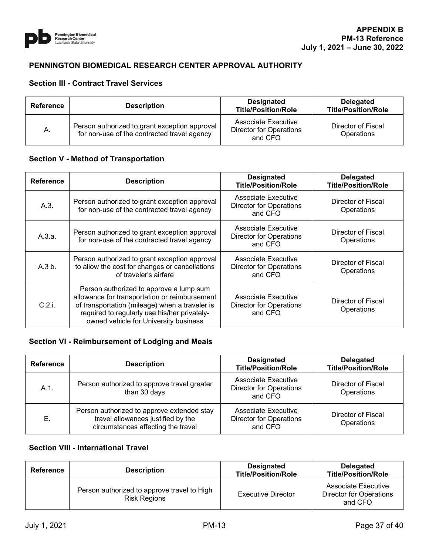

### **PENNINGTON BIOMEDICAL RESEARCH CENTER APPROVAL AUTHORITY**

#### **Section III - Contract Travel Services**

| Reference | <b>Description</b>                                                                           | <b>Designated</b><br><b>Title/Position/Role</b>           | <b>Delegated</b><br><b>Title/Position/Role</b> |
|-----------|----------------------------------------------------------------------------------------------|-----------------------------------------------------------|------------------------------------------------|
| Α.        | Person authorized to grant exception approval<br>for non-use of the contracted travel agency | Associate Executive<br>Director for Operations<br>and CFO | Director of Fiscal<br>Operations               |

#### **Section V - Method of Transportation**

| <b>Reference</b> | <b>Description</b>                                                                                                                                                                                                                  | <b>Designated</b><br><b>Title/Position/Role</b>                  | <b>Delegated</b><br><b>Title/Position/Role</b> |
|------------------|-------------------------------------------------------------------------------------------------------------------------------------------------------------------------------------------------------------------------------------|------------------------------------------------------------------|------------------------------------------------|
| A.3.             | Person authorized to grant exception approval<br>for non-use of the contracted travel agency                                                                                                                                        | Associate Executive<br><b>Director for Operations</b><br>and CFO | Director of Fiscal<br>Operations               |
| A.3.a.           | Person authorized to grant exception approval<br>for non-use of the contracted travel agency                                                                                                                                        | Associate Executive<br><b>Director for Operations</b><br>and CFO | Director of Fiscal<br>Operations               |
| A.3 b.           | Person authorized to grant exception approval<br>to allow the cost for changes or cancellations<br>of traveler's airfare                                                                                                            | Associate Executive<br><b>Director for Operations</b><br>and CFO | Director of Fiscal<br>Operations               |
| C.2.i.           | Person authorized to approve a lump sum<br>allowance for transportation or reimbursement<br>of transportation (mileage) when a traveler is<br>required to regularly use his/her privately-<br>owned vehicle for University business | Associate Executive<br><b>Director for Operations</b><br>and CFO | Director of Fiscal<br>Operations               |

# **Section VI - Reimbursement of Lodging and Meals**

| <b>Reference</b> | <b>Description</b>                                                                                                     | <b>Designated</b><br><b>Title/Position/Role</b>                  | <b>Delegated</b><br><b>Title/Position/Role</b> |
|------------------|------------------------------------------------------------------------------------------------------------------------|------------------------------------------------------------------|------------------------------------------------|
| $A.1$ .          | Person authorized to approve travel greater<br>than 30 days                                                            | Associate Executive<br><b>Director for Operations</b><br>and CFO | Director of Fiscal<br>Operations               |
| Е.               | Person authorized to approve extended stay<br>travel allowances justified by the<br>circumstances affecting the travel | Associate Executive<br><b>Director for Operations</b><br>and CFO | Director of Fiscal<br>Operations               |

| <b>Reference</b> | <b>Description</b>                                                 | <b>Designated</b><br><b>Title/Position/Role</b> | <b>Delegated</b><br><b>Title/Position/Role</b>                   |
|------------------|--------------------------------------------------------------------|-------------------------------------------------|------------------------------------------------------------------|
|                  | Person authorized to approve travel to High<br><b>Risk Regions</b> | Executive Director                              | Associate Executive<br><b>Director for Operations</b><br>and CFO |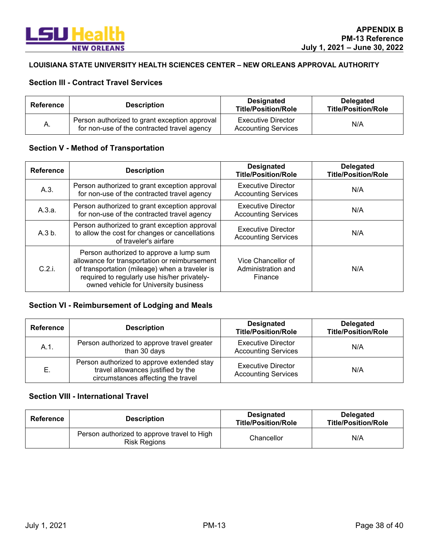

#### **LOUISIANA STATE UNIVERSITY HEALTH SCIENCES CENTER – NEW ORLEANS APPROVAL AUTHORITY**

# **Section III - Contract Travel Services**

| Reference | <b>Description</b>                                                                           | <b>Designated</b><br><b>Title/Position/Role</b>  | <b>Delegated</b><br><b>Title/Position/Role</b> |
|-----------|----------------------------------------------------------------------------------------------|--------------------------------------------------|------------------------------------------------|
| Α.        | Person authorized to grant exception approval<br>for non-use of the contracted travel agency | Executive Director<br><b>Accounting Services</b> | N/A                                            |

# **Section V - Method of Transportation**

| <b>Reference</b> | <b>Description</b>                                                                                                                                                                                                                  | <b>Designated</b><br><b>Title/Position/Role</b>         | <b>Delegated</b><br><b>Title/Position/Role</b> |
|------------------|-------------------------------------------------------------------------------------------------------------------------------------------------------------------------------------------------------------------------------------|---------------------------------------------------------|------------------------------------------------|
| A.3.             | Person authorized to grant exception approval<br>for non-use of the contracted travel agency                                                                                                                                        | <b>Executive Director</b><br><b>Accounting Services</b> | N/A                                            |
| A.3.a.           | Person authorized to grant exception approval<br>for non-use of the contracted travel agency                                                                                                                                        | <b>Executive Director</b><br><b>Accounting Services</b> | N/A                                            |
| A.3 b.           | Person authorized to grant exception approval<br>to allow the cost for changes or cancellations<br>of traveler's airfare                                                                                                            | <b>Executive Director</b><br><b>Accounting Services</b> | N/A                                            |
| C.2.i.           | Person authorized to approve a lump sum<br>allowance for transportation or reimbursement<br>of transportation (mileage) when a traveler is<br>required to regularly use his/her privately-<br>owned vehicle for University business | Vice Chancellor of<br>Administration and<br>Finance     | N/A                                            |

# **Section VI - Reimbursement of Lodging and Meals**

| <b>Reference</b> | <b>Description</b>                                                                                                     | <b>Designated</b><br><b>Title/Position/Role</b>         | <b>Delegated</b><br><b>Title/Position/Role</b> |
|------------------|------------------------------------------------------------------------------------------------------------------------|---------------------------------------------------------|------------------------------------------------|
| A.1.             | Person authorized to approve travel greater<br>than 30 days                                                            | <b>Executive Director</b><br><b>Accounting Services</b> | N/A                                            |
| Е.               | Person authorized to approve extended stay<br>travel allowances justified by the<br>circumstances affecting the travel | <b>Executive Director</b><br><b>Accounting Services</b> | N/A                                            |

| Reference | <b>Description</b>                                                 | <b>Designated</b><br><b>Title/Position/Role</b> | <b>Delegated</b><br><b>Title/Position/Role</b> |
|-----------|--------------------------------------------------------------------|-------------------------------------------------|------------------------------------------------|
|           | Person authorized to approve travel to High<br><b>Risk Regions</b> | Chancellor                                      | N/A                                            |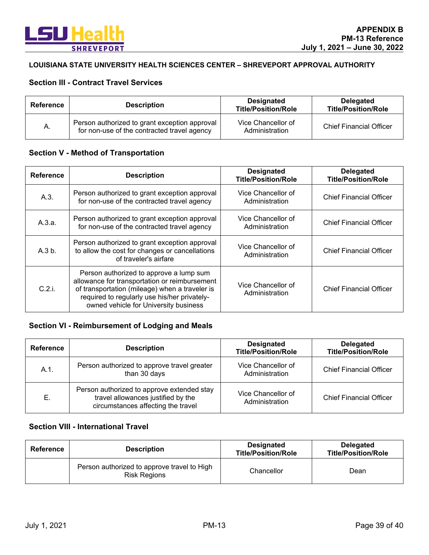

#### **LOUISIANA STATE UNIVERSITY HEALTH SCIENCES CENTER – SHREVEPORT APPROVAL AUTHORITY**

# **Section III - Contract Travel Services**

| Reference | <b>Description</b>                                                                           | <b>Designated</b><br><b>Title/Position/Role</b> | <b>Delegated</b><br><b>Title/Position/Role</b> |
|-----------|----------------------------------------------------------------------------------------------|-------------------------------------------------|------------------------------------------------|
| А.        | Person authorized to grant exception approval<br>for non-use of the contracted travel agency | Vice Chancellor of<br>Administration            | <b>Chief Financial Officer</b>                 |

### **Section V - Method of Transportation**

| <b>Reference</b> | <b>Description</b>                                                                                                                                                                                                                  | <b>Designated</b><br><b>Title/Position/Role</b> | <b>Delegated</b><br><b>Title/Position/Role</b> |
|------------------|-------------------------------------------------------------------------------------------------------------------------------------------------------------------------------------------------------------------------------------|-------------------------------------------------|------------------------------------------------|
| A.3.             | Person authorized to grant exception approval<br>for non-use of the contracted travel agency                                                                                                                                        | Vice Chancellor of<br>Administration            | <b>Chief Financial Officer</b>                 |
| A.3.a.           | Person authorized to grant exception approval<br>for non-use of the contracted travel agency                                                                                                                                        | Vice Chancellor of<br>Administration            | <b>Chief Financial Officer</b>                 |
| A.3 b.           | Person authorized to grant exception approval<br>to allow the cost for changes or cancellations<br>of traveler's airfare                                                                                                            | Vice Chancellor of<br>Administration            | <b>Chief Financial Officer</b>                 |
| C.2.i.           | Person authorized to approve a lump sum<br>allowance for transportation or reimbursement<br>of transportation (mileage) when a traveler is<br>required to regularly use his/her privately-<br>owned vehicle for University business | Vice Chancellor of<br>Administration            | <b>Chief Financial Officer</b>                 |

# **Section VI - Reimbursement of Lodging and Meals**

| Reference | <b>Description</b>                                                                                                     | <b>Designated</b><br><b>Title/Position/Role</b> | <b>Delegated</b><br><b>Title/Position/Role</b> |
|-----------|------------------------------------------------------------------------------------------------------------------------|-------------------------------------------------|------------------------------------------------|
| $A.1$ .   | Person authorized to approve travel greater<br>than 30 days                                                            | Vice Chancellor of<br>Administration            | <b>Chief Financial Officer</b>                 |
| Е.        | Person authorized to approve extended stay<br>travel allowances justified by the<br>circumstances affecting the travel | Vice Chancellor of<br>Administration            | <b>Chief Financial Officer</b>                 |

| Reference | <b>Description</b>                                                 | <b>Designated</b><br><b>Title/Position/Role</b> | <b>Delegated</b><br><b>Title/Position/Role</b> |
|-----------|--------------------------------------------------------------------|-------------------------------------------------|------------------------------------------------|
|           | Person authorized to approve travel to High<br><b>Risk Regions</b> | Chancellor                                      | Dean                                           |